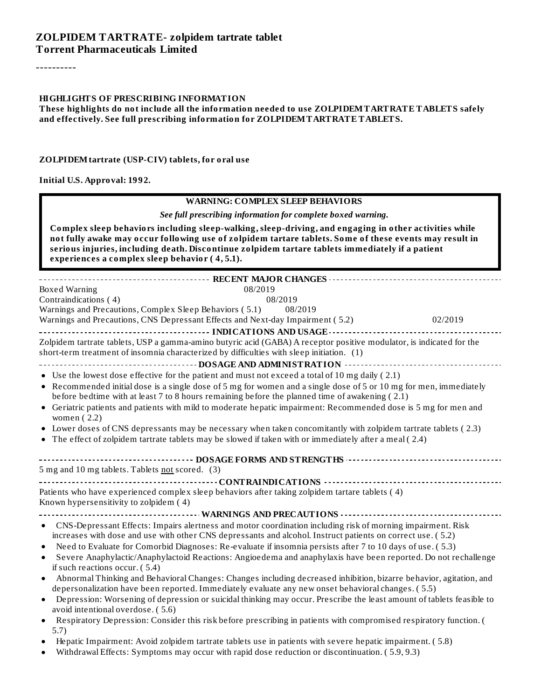----------

#### **HIGHLIGHTS OF PRESCRIBING INFORMATION**

#### **These highlights do not include all the information needed to use ZOLPIDEMTARTRATE TABLETS safely and effectively. See full prescribing information for ZOLPIDEMTARTRATE TABLETS.**

#### **ZOLPIDEMtartrate (USP-CIV) tablets, for oral use**

**Initial U.S. Approval: 1992.**

| <b>WARNING: COMPLEX SLEEP BEHAVIORS</b>                                                                                                                                                                                                                                                                                                                                |         |  |  |  |  |
|------------------------------------------------------------------------------------------------------------------------------------------------------------------------------------------------------------------------------------------------------------------------------------------------------------------------------------------------------------------------|---------|--|--|--|--|
| See full prescribing information for complete boxed warning.                                                                                                                                                                                                                                                                                                           |         |  |  |  |  |
| Complex sleep behaviors including sleep-walking, sleep-driving, and engaging in other activities while<br>not fully awake may occur following use of zolpidem tartare tablets. Some of these events may result in<br>serious injuries, including death. Discontinue zolpidem tartare tablets immediately if a patient<br>experiences a complex sleep behavior (4,5.1). |         |  |  |  |  |
|                                                                                                                                                                                                                                                                                                                                                                        |         |  |  |  |  |
| 08/2019<br>Boxed Warning                                                                                                                                                                                                                                                                                                                                               |         |  |  |  |  |
| Contraindications (4)<br>08/2019                                                                                                                                                                                                                                                                                                                                       |         |  |  |  |  |
| Warnings and Precautions, Complex Sleep Behaviors (5.1)<br>08/2019                                                                                                                                                                                                                                                                                                     |         |  |  |  |  |
| Warnings and Precautions, CNS Depressant Effects and Next-day Impairment (5.2)                                                                                                                                                                                                                                                                                         | 02/2019 |  |  |  |  |
|                                                                                                                                                                                                                                                                                                                                                                        |         |  |  |  |  |
| Zolpidem tartrate tablets, USP a gamma-amino butyric acid (GABA) A receptor positive modulator, is indicated for the<br>short-term treatment of insomnia characterized by difficulties with sleep initiation. (1)                                                                                                                                                      |         |  |  |  |  |
|                                                                                                                                                                                                                                                                                                                                                                        |         |  |  |  |  |
| • Use the lowest dose effective for the patient and must not exceed a total of 10 mg daily (2.1)                                                                                                                                                                                                                                                                       |         |  |  |  |  |
| • Recommended initial dose is a single dose of 5 mg for women and a single dose of 5 or 10 mg for men, immediately                                                                                                                                                                                                                                                     |         |  |  |  |  |
| before bedtime with at least 7 to 8 hours remaining before the planned time of awakening (2.1)                                                                                                                                                                                                                                                                         |         |  |  |  |  |
| • Geriatric patients and patients with mild to moderate hepatic impairment: Recommended dose is 5 mg for men and<br>women $(2.2)$                                                                                                                                                                                                                                      |         |  |  |  |  |
| • Lower doses of CNS depressants may be necessary when taken concomitantly with zolpidem tartrate tablets (2.3)                                                                                                                                                                                                                                                        |         |  |  |  |  |
| • The effect of zolpidem tartrate tablets may be slowed if taken with or immediately after a meal (2.4)                                                                                                                                                                                                                                                                |         |  |  |  |  |
| 5 mg and 10 mg tablets. Tablets not scored. (3)                                                                                                                                                                                                                                                                                                                        |         |  |  |  |  |
|                                                                                                                                                                                                                                                                                                                                                                        |         |  |  |  |  |
| Patients who have experienced complex sleep behaviors after taking zolpidem tartare tablets (4)                                                                                                                                                                                                                                                                        |         |  |  |  |  |
| Known hypersensitivity to zolpidem (4)                                                                                                                                                                                                                                                                                                                                 |         |  |  |  |  |
|                                                                                                                                                                                                                                                                                                                                                                        |         |  |  |  |  |
| • CNS-Depressant Effects: Impairs alertness and motor coordination including risk of morning impairment. Risk                                                                                                                                                                                                                                                          |         |  |  |  |  |
| increases with dose and use with other CNS depressants and alcohol. Instruct patients on correct use. (5.2)                                                                                                                                                                                                                                                            |         |  |  |  |  |
| Need to Evaluate for Comorbid Diagnoses: Re-evaluate if insomnia persists after 7 to 10 days of use. (5.3)<br>$\bullet$                                                                                                                                                                                                                                                |         |  |  |  |  |
| Severe Anaphylactic/Anaphylactoid Reactions: Angioedema and anaphylaxis have been reported. Do not rechallenge<br>$\bullet$<br>if such reactions occur. (5.4)                                                                                                                                                                                                          |         |  |  |  |  |
| Abnormal Thinking and Behavioral Changes: Changes including decreased inhibition, bizarre behavior, agitation, and<br>$\bullet$                                                                                                                                                                                                                                        |         |  |  |  |  |
| depersonalization have been reported. Immediately evaluate any new onset behavioral changes. (5.5)                                                                                                                                                                                                                                                                     |         |  |  |  |  |
| Depression: Worsening of depression or suicidal thinking may occur. Prescribe the least amount of tablets feasible to<br>avoid intentional overdose. (5.6)                                                                                                                                                                                                             |         |  |  |  |  |
| Respiratory Depression: Consider this risk before prescribing in patients with compromised respiratory function. (<br>5.7)                                                                                                                                                                                                                                             |         |  |  |  |  |
| Hepatic Impairment: Avoid zolpidem tartrate tablets use in patients with severe hepatic impairment. (5.8)<br>Withdrawal Effects: Symptoms may occur with rapid dose reduction or discontinuation. (5.9, 9.3)                                                                                                                                                           |         |  |  |  |  |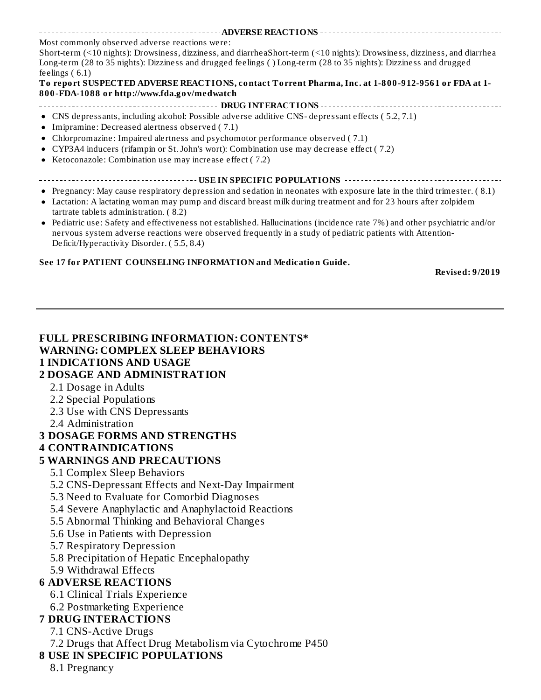**ADVERSE REACTIONS** Most commonly observed adverse reactions were: Short-term (<10 nights): Drowsiness, dizziness, and diarrheaShort-term (<10 nights): Drowsiness, dizziness, and diarrhea Long-term (28 to 35 nights): Dizziness and drugged feelings ( ) Long-term (28 to 35 nights): Dizziness and drugged feelings ( 6.1) **To report SUSPECTED ADVERSE REACTIONS, contact Torrent Pharma, Inc. at 1-800-912-9561 or FDA at 1- 800-FDA-1088 or http://www.fda.gov/medwatch DRUG INTERACTIONS** CNS depressants, including alcohol: Possible adverse additive CNS- depressant effects ( 5.2, 7.1) Imipramine: Decreased alertness observed ( 7.1) Chlorpromazine: Impaired alertness and psychomotor performance observed ( 7.1) CYP3A4 inducers (rifampin or St. John's wort): Combination use may decrease effect ( 7.2)

- Ketoconazole: Combination use may increase effect ( 7.2)
- **USE IN SPECIFIC POPULATIONS**
- Pregnancy: May cause respiratory depression and sedation in neonates with exposure late in the third trimester. ( 8.1)
- Lactation: A lactating woman may pump and discard breast milk during treatment and for 23 hours after zolpidem tartrate tablets administration. ( 8.2)
- Pediatric use: Safety and effectiveness not established. Hallucinations (incidence rate 7%) and other psychiatric and/or  $\bullet$ nervous system adverse reactions were observed frequently in a study of pediatric patients with Attention-Deficit/Hyperactivity Disorder. ( 5.5, 8.4)

#### **See 17 for PATIENT COUNSELING INFORMATION and Medication Guide.**

**Revised: 9/2019**

| <b>FULL PRESCRIBING INFORMATION: CONTENTS*</b>            |
|-----------------------------------------------------------|
| <b>WARNING: COMPLEX SLEEP BEHAVIORS</b>                   |
| <b>1 INDICATIONS AND USAGE</b>                            |
| <b>2 DOSAGE AND ADMINISTRATION</b>                        |
|                                                           |
| 2.1 Dosage in Adults                                      |
| 2.2 Special Populations                                   |
| 2.3 Use with CNS Depressants                              |
| 2.4 Administration                                        |
| <b>3 DOSAGE FORMS AND STRENGTHS</b>                       |
| <b>4 CONTRAINDICATIONS</b>                                |
| <b>5 WARNINGS AND PRECAUTIONS</b>                         |
| 5.1 Complex Sleep Behaviors                               |
| 5.2 CNS-Depressant Effects and Next-Day Impairment        |
| 5.3 Need to Evaluate for Comorbid Diagnoses               |
| 5.4 Severe Anaphylactic and Anaphylactoid Reactions       |
| 5.5 Abnormal Thinking and Behavioral Changes              |
| 5.6 Use in Patients with Depression                       |
| 5.7 Respiratory Depression                                |
| 5.8 Precipitation of Hepatic Encephalopathy               |
| 5.9 Withdrawal Effects                                    |
| <b>6 ADVERSE REACTIONS</b>                                |
| 6.1 Clinical Trials Experience                            |
| 6.2 Postmarketing Experience                              |
| <b>7 DRUG INTERACTIONS</b>                                |
| 7.1 CNS-Active Drugs                                      |
| 7.2 Drugs that Affect Drug Metabolism via Cytochrome P450 |
| <b>8 USE IN SPECIFIC POPULATIONS</b>                      |
|                                                           |
| 8.1 Pregnancy                                             |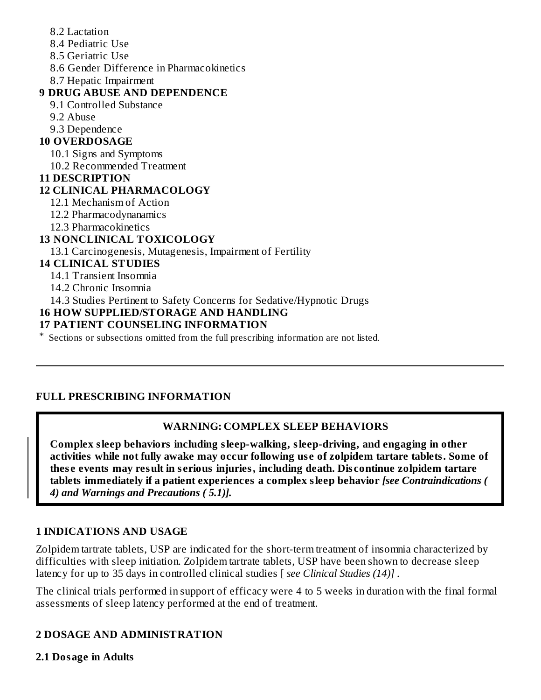- 8.2 Lactation
- 8.4 Pediatric Use
- 8.5 Geriatric Use
- 8.6 Gender Difference in Pharmacokinetics
- 8.7 Hepatic Impairment

## **9 DRUG ABUSE AND DEPENDENCE**

- 9.1 Controlled Substance
- 9.2 Abuse
- 9.3 Dependence

## **10 OVERDOSAGE**

10.1 Signs and Symptoms

10.2 Recommended Treatment

### **11 DESCRIPTION**

## **12 CLINICAL PHARMACOLOGY**

12.1 Mechanism of Action

12.2 Pharmacodynanamics

12.3 Pharmacokinetics

## **13 NONCLINICAL TOXICOLOGY**

13.1 Carcinogenesis, Mutagenesis, Impairment of Fertility

## **14 CLINICAL STUDIES**

14.1 Transient Insomnia

14.2 Chronic Insomnia

14.3 Studies Pertinent to Safety Concerns for Sedative/Hypnotic Drugs

### **16 HOW SUPPLIED/STORAGE AND HANDLING**

### **17 PATIENT COUNSELING INFORMATION**

\* Sections or subsections omitted from the full prescribing information are not listed.

### **FULL PRESCRIBING INFORMATION**

## **WARNING: COMPLEX SLEEP BEHAVIORS**

**Complex sleep behaviors including sleep-walking, sleep-driving, and engaging in other activities while not fully awake may occur following us e of zolpidem tartare tablets. Some of thes e events may result in s erious injuries, including death. Dis continue zolpidem tartare tablets immediately if a patient experiences a complex sleep behavior** *[see Contraindications ( 4) and Warnings and Precautions ( 5.1)].*

### **1 INDICATIONS AND USAGE**

Zolpidem tartrate tablets, USP are indicated for the short-term treatment of insomnia characterized by difficulties with sleep initiation. Zolpidem tartrate tablets, USP have been shown to decrease sleep latency for up to 35 days in controlled clinical studies [ *see Clinical Studies (14)] .*

The clinical trials performed in support of efficacy were 4 to 5 weeks in duration with the final formal assessments of sleep latency performed at the end of treatment.

## **2 DOSAGE AND ADMINISTRATION**

### **2.1 Dosage in Adults**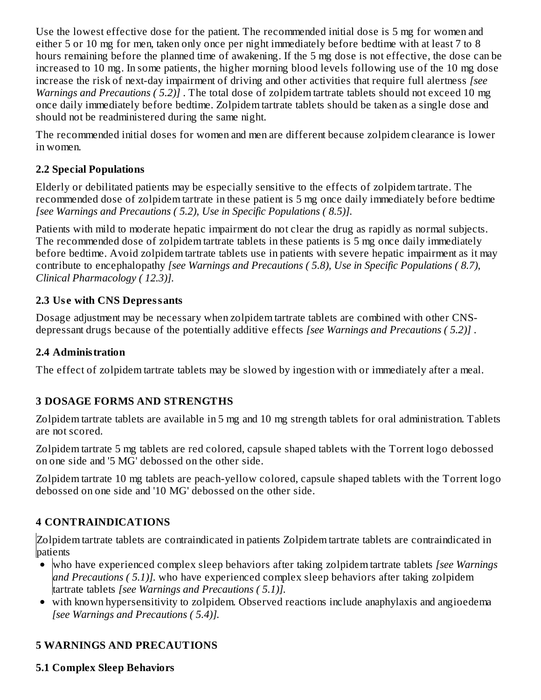Use the lowest effective dose for the patient. The recommended initial dose is 5 mg for women and either 5 or 10 mg for men, taken only once per night immediately before bedtime with at least 7 to 8 hours remaining before the planned time of awakening. If the 5 mg dose is not effective, the dose can be increased to 10 mg. In some patients, the higher morning blood levels following use of the 10 mg dose increase the risk of next-day impairment of driving and other activities that require full alertness *[see Warnings and Precautions ( 5.2)]* . The total dose of zolpidem tartrate tablets should not exceed 10 mg once daily immediately before bedtime. Zolpidem tartrate tablets should be taken as a single dose and should not be readministered during the same night.

The recommended initial doses for women and men are different because zolpidem clearance is lower in women.

## **2.2 Special Populations**

Elderly or debilitated patients may be especially sensitive to the effects of zolpidem tartrate. The recommended dose of zolpidem tartrate in these patient is 5 mg once daily immediately before bedtime *[see Warnings and Precautions ( 5.2), Use in Specific Populations ( 8.5)].*

Patients with mild to moderate hepatic impairment do not clear the drug as rapidly as normal subjects. The recommended dose of zolpidem tartrate tablets in these patients is 5 mg once daily immediately before bedtime. Avoid zolpidem tartrate tablets use in patients with severe hepatic impairment as it may contribute to encephalopathy *[see Warnings and Precautions ( 5.8), Use in Specific Populations ( 8.7), Clinical Pharmacology ( 12.3)].*

## **2.3 Us e with CNS Depressants**

Dosage adjustment may be necessary when zolpidem tartrate tablets are combined with other CNSdepressant drugs because of the potentially additive effects *[see Warnings and Precautions ( 5.2)]* .

### **2.4 Administration**

The effect of zolpidem tartrate tablets may be slowed by ingestion with or immediately after a meal.

## **3 DOSAGE FORMS AND STRENGTHS**

Zolpidem tartrate tablets are available in 5 mg and 10 mg strength tablets for oral administration. Tablets are not scored.

Zolpidem tartrate 5 mg tablets are red colored, capsule shaped tablets with the Torrent logo debossed on one side and '5 MG' debossed on the other side.

Zolpidem tartrate 10 mg tablets are peach-yellow colored, capsule shaped tablets with the Torrent logo debossed on one side and '10 MG' debossed on the other side.

## **4 CONTRAINDICATIONS**

Zolpidem tartrate tablets are contraindicated in patients Zolpidem tartrate tablets are contraindicated in patients

- who have experienced complex sleep behaviors after taking zolpidem tartrate tablets *[see Warnings and Precautions ( 5.1)].* who have experienced complex sleep behaviors after taking zolpidem tartrate tablets *[see Warnings and Precautions ( 5.1)].*
- with known hypersensitivity to zolpidem. Observed reactions include anaphylaxis and angioedema *[see Warnings and Precautions ( 5.4)].*

# **5 WARNINGS AND PRECAUTIONS**

## **5.1 Complex Sleep Behaviors**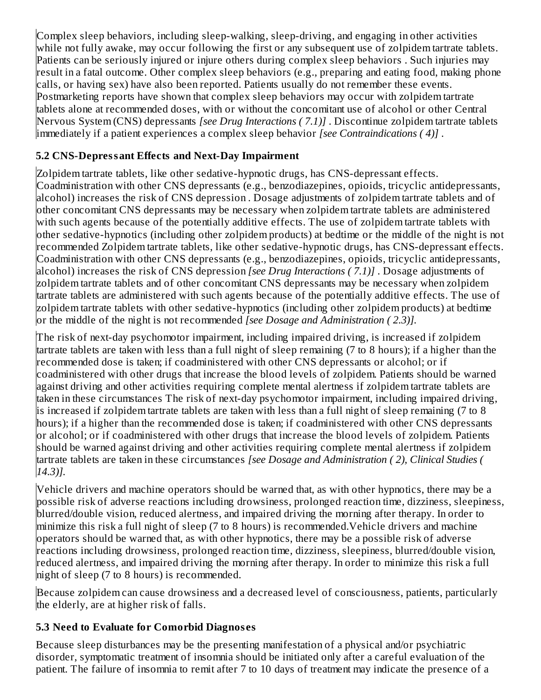Complex sleep behaviors, including sleep-walking, sleep-driving, and engaging in other activities while not fully awake, may occur following the first or any subsequent use of zolpidem tartrate tablets. Patients can be seriously injured or injure others during complex sleep behaviors . Such injuries may result in a fatal outcome. Other complex sleep behaviors (e.g., preparing and eating food, making phone calls, or having sex) have also been reported. Patients usually do not remember these events. Postmarketing reports have shown that complex sleep behaviors may occur with zolpidem tartrate tablets alone at recommended doses, with or without the concomitant use of alcohol or other Central Nervous System (CNS) depressants *[see Drug Interactions ( 7.1)]* . Discontinue zolpidem tartrate tablets immediately if a patient experiences a complex sleep behavior *[see Contraindications ( 4)]* .

## **5.2 CNS-Depressant Effects and Next-Day Impairment**

Zolpidem tartrate tablets, like other sedative-hypnotic drugs, has CNS-depressant effects. Coadministration with other CNS depressants (e.g., benzodiazepines, opioids, tricyclic antidepressants, alcohol) increases the risk of CNS depression . Dosage adjustments of zolpidem tartrate tablets and of other concomitant CNS depressants may be necessary when zolpidem tartrate tablets are administered with such agents because of the potentially additive effects. The use of zolpidem tartrate tablets with other sedative-hypnotics (including other zolpidem products) at bedtime or the middle of the night is not recommended Zolpidem tartrate tablets, like other sedative-hypnotic drugs, has CNS-depressant effects. Coadministration with other CNS depressants (e.g., benzodiazepines, opioids, tricyclic antidepressants, alcohol) increases the risk of CNS depression *[see Drug Interactions ( 7.1)]* . Dosage adjustments of zolpidem tartrate tablets and of other concomitant CNS depressants may be necessary when zolpidem tartrate tablets are administered with such agents because of the potentially additive effects. The use of zolpidem tartrate tablets with other sedative-hypnotics (including other zolpidem products) at bedtime or the middle of the night is not recommended *[see Dosage and Administration ( 2.3)].*

The risk of next-day psychomotor impairment, including impaired driving, is increased if zolpidem tartrate tablets are taken with less than a full night of sleep remaining (7 to 8 hours); if a higher than the recommended dose is taken; if coadministered with other CNS depressants or alcohol; or if coadministered with other drugs that increase the blood levels of zolpidem. Patients should be warned against driving and other activities requiring complete mental alertness if zolpidem tartrate tablets are taken in these circumstances The risk of next-day psychomotor impairment, including impaired driving, is increased if zolpidem tartrate tablets are taken with less than a full night of sleep remaining (7 to 8 hours); if a higher than the recommended dose is taken; if coadministered with other CNS depressants or alcohol; or if coadministered with other drugs that increase the blood levels of zolpidem. Patients should be warned against driving and other activities requiring complete mental alertness if zolpidem tartrate tablets are taken in these circumstances *[see Dosage and Administration ( 2), Clinical Studies ( 14.3)].*

Vehicle drivers and machine operators should be warned that, as with other hypnotics, there may be a possible risk of adverse reactions including drowsiness, prolonged reaction time, dizziness, sleepiness, blurred/double vision, reduced alertness, and impaired driving the morning after therapy. In order to minimize this risk a full night of sleep (7 to 8 hours) is recommended.Vehicle drivers and machine operators should be warned that, as with other hypnotics, there may be a possible risk of adverse reactions including drowsiness, prolonged reaction time, dizziness, sleepiness, blurred/double vision, reduced alertness, and impaired driving the morning after therapy. In order to minimize this risk a full night of sleep (7 to 8 hours) is recommended.

Because zolpidem can cause drowsiness and a decreased level of consciousness, patients, particularly the elderly, are at higher risk of falls.

## **5.3 Need to Evaluate for Comorbid Diagnos es**

Because sleep disturbances may be the presenting manifestation of a physical and/or psychiatric disorder, symptomatic treatment of insomnia should be initiated only after a careful evaluation of the patient. The failure of insomnia to remit after 7 to 10 days of treatment may indicate the presence of a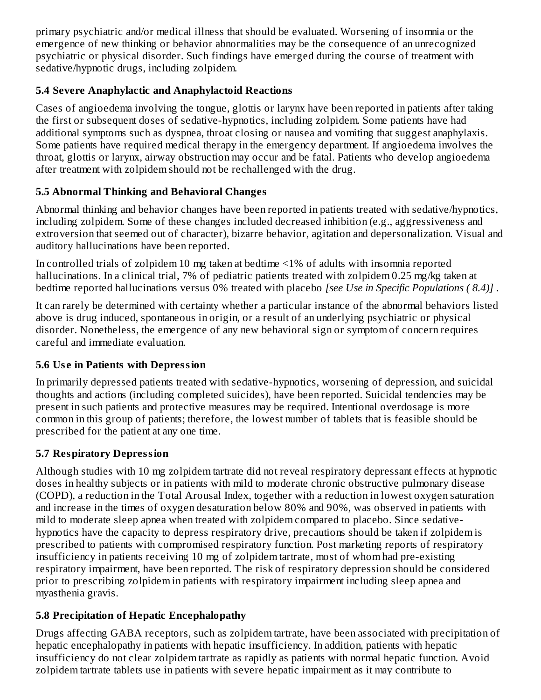primary psychiatric and/or medical illness that should be evaluated. Worsening of insomnia or the emergence of new thinking or behavior abnormalities may be the consequence of an unrecognized psychiatric or physical disorder. Such findings have emerged during the course of treatment with sedative/hypnotic drugs, including zolpidem.

## **5.4 Severe Anaphylactic and Anaphylactoid Reactions**

Cases of angioedema involving the tongue, glottis or larynx have been reported in patients after taking the first or subsequent doses of sedative-hypnotics, including zolpidem. Some patients have had additional symptoms such as dyspnea, throat closing or nausea and vomiting that suggest anaphylaxis. Some patients have required medical therapy in the emergency department. If angioedema involves the throat, glottis or larynx, airway obstruction may occur and be fatal. Patients who develop angioedema after treatment with zolpidem should not be rechallenged with the drug.

## **5.5 Abnormal Thinking and Behavioral Changes**

Abnormal thinking and behavior changes have been reported in patients treated with sedative/hypnotics, including zolpidem. Some of these changes included decreased inhibition (e.g., aggressiveness and extroversion that seemed out of character), bizarre behavior, agitation and depersonalization. Visual and auditory hallucinations have been reported.

In controlled trials of zolpidem 10 mg taken at bedtime <1% of adults with insomnia reported hallucinations. In a clinical trial, 7% of pediatric patients treated with zolpidem 0.25 mg/kg taken at bedtime reported hallucinations versus 0% treated with placebo *[see Use in Specific Populations ( 8.4)]* .

It can rarely be determined with certainty whether a particular instance of the abnormal behaviors listed above is drug induced, spontaneous in origin, or a result of an underlying psychiatric or physical disorder. Nonetheless, the emergence of any new behavioral sign or symptom of concern requires careful and immediate evaluation.

### **5.6 Us e in Patients with Depression**

In primarily depressed patients treated with sedative-hypnotics, worsening of depression, and suicidal thoughts and actions (including completed suicides), have been reported. Suicidal tendencies may be present in such patients and protective measures may be required. Intentional overdosage is more common in this group of patients; therefore, the lowest number of tablets that is feasible should be prescribed for the patient at any one time.

## **5.7 Respiratory Depression**

Although studies with 10 mg zolpidem tartrate did not reveal respiratory depressant effects at hypnotic doses in healthy subjects or in patients with mild to moderate chronic obstructive pulmonary disease (COPD), a reduction in the Total Arousal Index, together with a reduction in lowest oxygen saturation and increase in the times of oxygen desaturation below 80% and 90%, was observed in patients with mild to moderate sleep apnea when treated with zolpidem compared to placebo. Since sedativehypnotics have the capacity to depress respiratory drive, precautions should be taken if zolpidem is prescribed to patients with compromised respiratory function. Post marketing reports of respiratory insufficiency in patients receiving 10 mg of zolpidem tartrate, most of whom had pre-existing respiratory impairment, have been reported. The risk of respiratory depression should be considered prior to prescribing zolpidem in patients with respiratory impairment including sleep apnea and myasthenia gravis.

## **5.8 Precipitation of Hepatic Encephalopathy**

Drugs affecting GABA receptors, such as zolpidem tartrate, have been associated with precipitation of hepatic encephalopathy in patients with hepatic insufficiency. In addition, patients with hepatic insufficiency do not clear zolpidem tartrate as rapidly as patients with normal hepatic function. Avoid zolpidem tartrate tablets use in patients with severe hepatic impairment as it may contribute to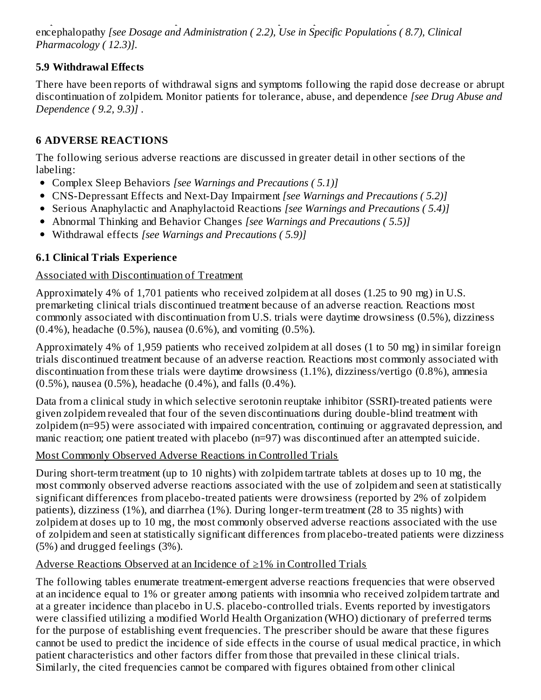zolpidem tartrate tablets use in patients with severe hepatic impairment as it may contribute to encephalopathy *[see Dosage and Administration ( 2.2), Use in Specific Populations ( 8.7), Clinical Pharmacology ( 12.3)].*

### **5.9 Withdrawal Effects**

There have been reports of withdrawal signs and symptoms following the rapid dose decrease or abrupt discontinuation of zolpidem. Monitor patients for tolerance, abuse, and dependence *[see Drug Abuse and Dependence ( 9.2, 9.3)]* .

#### **6 ADVERSE REACTIONS**

The following serious adverse reactions are discussed in greater detail in other sections of the labeling:

- Complex Sleep Behaviors *[see Warnings and Precautions ( 5.1)]*
- CNS-Depressant Effects and Next-Day Impairment *[see Warnings and Precautions ( 5.2)]*
- Serious Anaphylactic and Anaphylactoid Reactions *[see Warnings and Precautions ( 5.4)]*
- Abnormal Thinking and Behavior Changes *[see Warnings and Precautions ( 5.5)]*
- Withdrawal effects *[see Warnings and Precautions ( 5.9)]*

### **6.1 Clinical Trials Experience**

#### Associated with Discontinuation of Treatment

Approximately 4% of 1,701 patients who received zolpidem at all doses (1.25 to 90 mg) in U.S. premarketing clinical trials discontinued treatment because of an adverse reaction. Reactions most commonly associated with discontinuation from U.S. trials were daytime drowsiness (0.5%), dizziness (0.4%), headache (0.5%), nausea (0.6%), and vomiting (0.5%).

Approximately 4% of 1,959 patients who received zolpidem at all doses (1 to 50 mg) in similar foreign trials discontinued treatment because of an adverse reaction. Reactions most commonly associated with discontinuation from these trials were daytime drowsiness (1.1%), dizziness/vertigo (0.8%), amnesia (0.5%), nausea (0.5%), headache (0.4%), and falls (0.4%).

Data from a clinical study in which selective serotonin reuptake inhibitor (SSRI)-treated patients were given zolpidem revealed that four of the seven discontinuations during double-blind treatment with zolpidem (n=95) were associated with impaired concentration, continuing or aggravated depression, and manic reaction; one patient treated with placebo (n=97) was discontinued after an attempted suicide.

#### Most Commonly Observed Adverse Reactions in Controlled Trials

During short-term treatment (up to 10 nights) with zolpidem tartrate tablets at doses up to 10 mg, the most commonly observed adverse reactions associated with the use of zolpidem and seen at statistically significant differences from placebo-treated patients were drowsiness (reported by 2% of zolpidem patients), dizziness (1%), and diarrhea (1%). During longer-term treatment (28 to 35 nights) with zolpidem at doses up to 10 mg, the most commonly observed adverse reactions associated with the use of zolpidem and seen at statistically significant differences from placebo-treated patients were dizziness (5%) and drugged feelings (3%).

#### Adverse Reactions Observed at an Incidence of ≥1% in Controlled Trials

The following tables enumerate treatment-emergent adverse reactions frequencies that were observed at an incidence equal to 1% or greater among patients with insomnia who received zolpidem tartrate and at a greater incidence than placebo in U.S. placebo-controlled trials. Events reported by investigators were classified utilizing a modified World Health Organization (WHO) dictionary of preferred terms for the purpose of establishing event frequencies. The prescriber should be aware that these figures cannot be used to predict the incidence of side effects in the course of usual medical practice, in which patient characteristics and other factors differ from those that prevailed in these clinical trials. Similarly, the cited frequencies cannot be compared with figures obtained from other clinical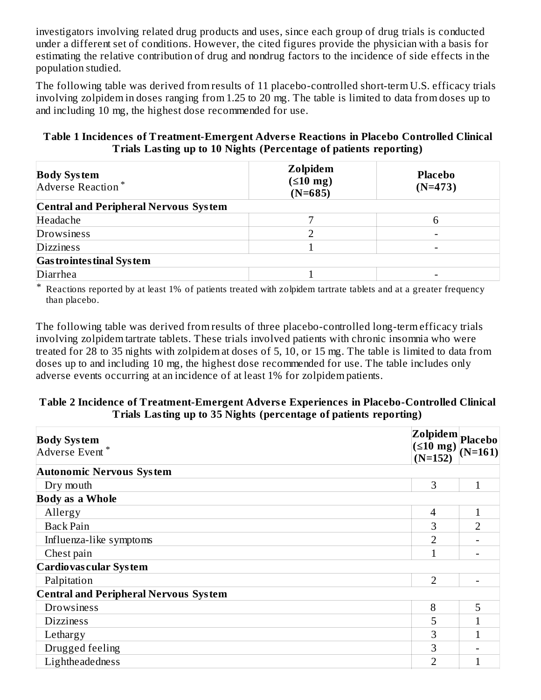investigators involving related drug products and uses, since each group of drug trials is conducted under a different set of conditions. However, the cited figures provide the physician with a basis for estimating the relative contribution of drug and nondrug factors to the incidence of side effects in the population studied.

The following table was derived from results of 11 placebo-controlled short-term U.S. efficacy trials involving zolpidem in doses ranging from 1.25 to 20 mg. The table is limited to data from doses up to and including 10 mg, the highest dose recommended for use.

#### **Table 1 Incidences of Treatment-Emergent Advers e Reactions in Placebo Controlled Clinical Trials Lasting up to 10 Nights (Percentage of patients reporting)**

| <b>Body System</b><br>Adverse Reaction*      | Zolpidem<br>$(510 \text{ mg})$<br>$(N=685)$ | <b>Placebo</b><br>$(N=473)$ |
|----------------------------------------------|---------------------------------------------|-----------------------------|
| <b>Central and Peripheral Nervous System</b> |                                             |                             |
| Headache                                     |                                             |                             |
| Drowsiness                                   |                                             |                             |
| <b>Dizziness</b>                             |                                             |                             |
| <b>Gas trointes tinal System</b>             |                                             |                             |
| Diarrhea                                     |                                             |                             |

\* Reactions reported by at least 1% of patients treated with zolpidem tartrate tablets and at a greater frequency than placebo.

The following table was derived from results of three placebo-controlled long-term efficacy trials involving zolpidem tartrate tablets. These trials involved patients with chronic insomnia who were treated for 28 to 35 nights with zolpidem at doses of 5, 10, or 15 mg. The table is limited to data from doses up to and including 10 mg, the highest dose recommended for use. The table includes only adverse events occurring at an incidence of at least 1% for zolpidem patients.

#### **Table 2 Incidence of Treatment-Emergent Advers e Experiences in Placebo-Controlled Clinical Trials Lasting up to 35 Nights (percentage of patients reporting)**

| <b>Body System</b><br>Adverse Event*         | Zolpidem Placebo<br>$(\leq 10$ mg)<br>$(N=152)$ | $(N=161)$      |
|----------------------------------------------|-------------------------------------------------|----------------|
| <b>Autonomic Nervous System</b>              |                                                 |                |
| Dry mouth                                    | 3                                               | 1              |
| <b>Body as a Whole</b>                       |                                                 |                |
| Allergy                                      | 4                                               | $\mathbf{1}$   |
| <b>Back Pain</b>                             | 3                                               | $\overline{2}$ |
| Influenza-like symptoms                      | $\overline{2}$                                  |                |
| Chest pain                                   |                                                 |                |
| Cardiovas cular System                       |                                                 |                |
| Palpitation                                  | $\overline{2}$                                  |                |
| <b>Central and Peripheral Nervous System</b> |                                                 |                |
| <b>Drowsiness</b>                            | 8                                               | 5              |
| <b>Dizziness</b>                             | 5                                               |                |
| Lethargy                                     | 3                                               |                |
| Drugged feeling                              | 3                                               |                |
| Lightheadedness                              | 2                                               |                |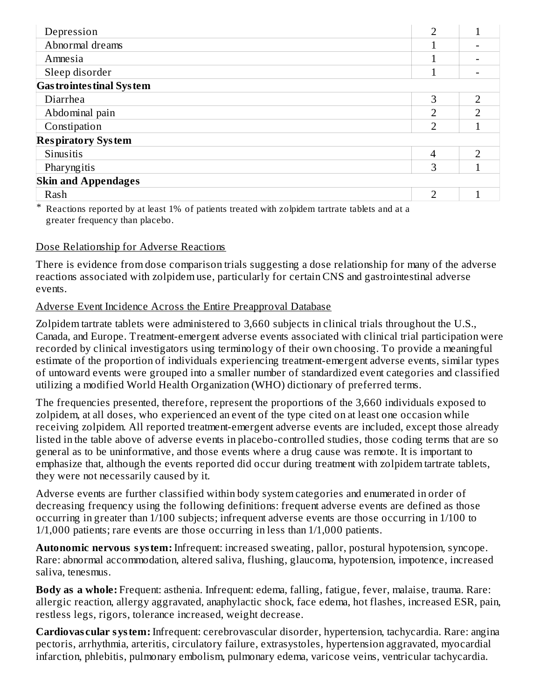| Depression                       | $\mathcal{D}$ | 1             |
|----------------------------------|---------------|---------------|
| Abnormal dreams                  |               |               |
| Amnesia                          |               |               |
| Sleep disorder                   |               |               |
| <b>Gas trointes tinal System</b> |               |               |
| Diarrhea                         | 3             | $\mathcal{D}$ |
| Abdominal pain                   | າ             | ר             |
| Constipation                     | C             |               |
| <b>Respiratory System</b>        |               |               |
| Sinusitis                        | 4             | ר             |
| Pharyngitis                      | 3             |               |
| <b>Skin and Appendages</b>       |               |               |
| Rash                             | C             |               |
|                                  |               |               |

\* Reactions reported by at least 1% of patients treated with zolpidem tartrate tablets and at a greater frequency than placebo.

#### Dose Relationship for Adverse Reactions

There is evidence from dose comparison trials suggesting a dose relationship for many of the adverse reactions associated with zolpidem use, particularly for certain CNS and gastrointestinal adverse events.

#### Adverse Event Incidence Across the Entire Preapproval Database

Zolpidem tartrate tablets were administered to 3,660 subjects in clinical trials throughout the U.S., Canada, and Europe. Treatment-emergent adverse events associated with clinical trial participation were recorded by clinical investigators using terminology of their own choosing. To provide a meaningful estimate of the proportion of individuals experiencing treatment-emergent adverse events, similar types of untoward events were grouped into a smaller number of standardized event categories and classified utilizing a modified World Health Organization (WHO) dictionary of preferred terms.

The frequencies presented, therefore, represent the proportions of the 3,660 individuals exposed to zolpidem, at all doses, who experienced an event of the type cited on at least one occasion while receiving zolpidem. All reported treatment-emergent adverse events are included, except those already listed in the table above of adverse events in placebo-controlled studies, those coding terms that are so general as to be uninformative, and those events where a drug cause was remote. It is important to emphasize that, although the events reported did occur during treatment with zolpidem tartrate tablets, they were not necessarily caused by it.

Adverse events are further classified within body system categories and enumerated in order of decreasing frequency using the following definitions: frequent adverse events are defined as those occurring in greater than 1/100 subjects; infrequent adverse events are those occurring in 1/100 to 1/1,000 patients; rare events are those occurring in less than 1/1,000 patients.

**Autonomic nervous system:** Infrequent: increased sweating, pallor, postural hypotension, syncope. Rare: abnormal accommodation, altered saliva, flushing, glaucoma, hypotension, impotence, increased saliva, tenesmus.

**Body as a whole:** Frequent: asthenia. Infrequent: edema, falling, fatigue, fever, malaise, trauma. Rare: allergic reaction, allergy aggravated, anaphylactic shock, face edema, hot flashes, increased ESR, pain, restless legs, rigors, tolerance increased, weight decrease.

**Cardiovas cular system:** Infrequent: cerebrovascular disorder, hypertension, tachycardia. Rare: angina pectoris, arrhythmia, arteritis, circulatory failure, extrasystoles, hypertension aggravated, myocardial infarction, phlebitis, pulmonary embolism, pulmonary edema, varicose veins, ventricular tachycardia.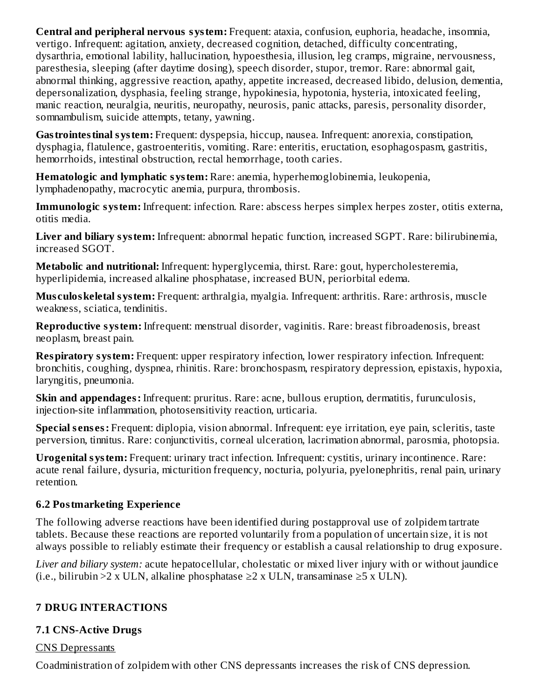**Central and peripheral nervous system:** Frequent: ataxia, confusion, euphoria, headache, insomnia, vertigo. Infrequent: agitation, anxiety, decreased cognition, detached, difficulty concentrating, dysarthria, emotional lability, hallucination, hypoesthesia, illusion, leg cramps, migraine, nervousness, paresthesia, sleeping (after daytime dosing), speech disorder, stupor, tremor. Rare: abnormal gait, abnormal thinking, aggressive reaction, apathy, appetite increased, decreased libido, delusion, dementia, depersonalization, dysphasia, feeling strange, hypokinesia, hypotonia, hysteria, intoxicated feeling, manic reaction, neuralgia, neuritis, neuropathy, neurosis, panic attacks, paresis, personality disorder, somnambulism, suicide attempts, tetany, yawning.

**Gastrointestinal system:** Frequent: dyspepsia, hiccup, nausea. Infrequent: anorexia, constipation, dysphagia, flatulence, gastroenteritis, vomiting. Rare: enteritis, eructation, esophagospasm, gastritis, hemorrhoids, intestinal obstruction, rectal hemorrhage, tooth caries.

**Hematologic and lymphatic system:** Rare: anemia, hyperhemoglobinemia, leukopenia, lymphadenopathy, macrocytic anemia, purpura, thrombosis.

**Immunologic system:** Infrequent: infection. Rare: abscess herpes simplex herpes zoster, otitis externa, otitis media.

**Liver and biliary system:** Infrequent: abnormal hepatic function, increased SGPT. Rare: bilirubinemia, increased SGOT.

**Metabolic and nutritional:** Infrequent: hyperglycemia, thirst. Rare: gout, hypercholesteremia, hyperlipidemia, increased alkaline phosphatase, increased BUN, periorbital edema.

**Mus culoskeletal system:** Frequent: arthralgia, myalgia. Infrequent: arthritis. Rare: arthrosis, muscle weakness, sciatica, tendinitis.

**Reproductive system:** Infrequent: menstrual disorder, vaginitis. Rare: breast fibroadenosis, breast neoplasm, breast pain.

**Respiratory system:** Frequent: upper respiratory infection, lower respiratory infection. Infrequent: bronchitis, coughing, dyspnea, rhinitis. Rare: bronchospasm, respiratory depression, epistaxis, hypoxia, laryngitis, pneumonia.

**Skin and appendages:** Infrequent: pruritus. Rare: acne, bullous eruption, dermatitis, furunculosis, injection-site inflammation, photosensitivity reaction, urticaria.

**Special s ens es:** Frequent: diplopia, vision abnormal. Infrequent: eye irritation, eye pain, scleritis, taste perversion, tinnitus. Rare: conjunctivitis, corneal ulceration, lacrimation abnormal, parosmia, photopsia.

**Urogenital system:** Frequent: urinary tract infection. Infrequent: cystitis, urinary incontinence. Rare: acute renal failure, dysuria, micturition frequency, nocturia, polyuria, pyelonephritis, renal pain, urinary retention.

### **6.2 Postmarketing Experience**

The following adverse reactions have been identified during postapproval use of zolpidem tartrate tablets. Because these reactions are reported voluntarily from a population of uncertain size, it is not always possible to reliably estimate their frequency or establish a causal relationship to drug exposure.

*Liver and biliary system:* acute hepatocellular, cholestatic or mixed liver injury with or without jaundice (i.e., bilirubin >2 x ULN, alkaline phosphatase ≥2 x ULN, transaminase ≥5 x ULN).

## **7 DRUG INTERACTIONS**

### **7.1 CNS-Active Drugs**

#### CNS Depressants

Coadministration of zolpidem with other CNS depressants increases the risk of CNS depression.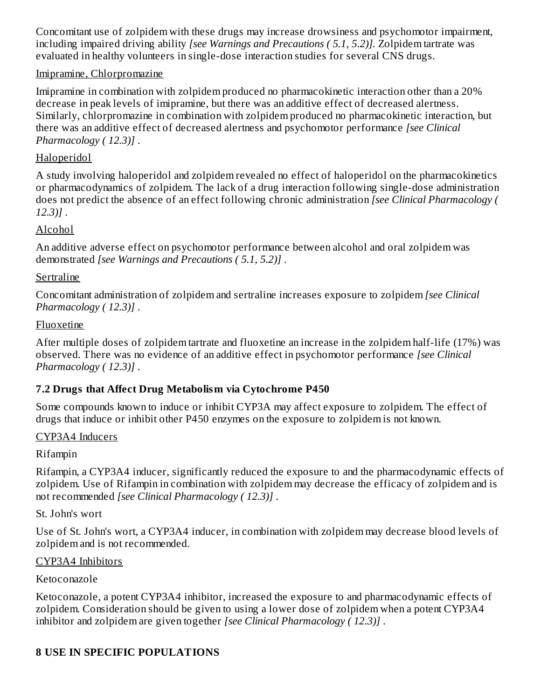Concomitant use of zolpidem with these drugs may increase drowsiness and psychomotor impairment, including impaired driving ability *[see Warnings and Precautions ( 5.1, 5.2)].* Zolpidem tartrate was evaluated in healthy volunteers in single-dose interaction studies for several CNS drugs.

#### Imipramine, Chlorpromazine

Imipramine in combination with zolpidem produced no pharmacokinetic interaction other than a 20% decrease in peak levels of imipramine, but there was an additive effect of decreased alertness. Similarly, chlorpromazine in combination with zolpidem produced no pharmacokinetic interaction, but there was an additive effect of decreased alertness and psychomotor performance *[see Clinical Pharmacology ( 12.3)]* .

### Haloperidol

A study involving haloperidol and zolpidem revealed no effect of haloperidol on the pharmacokinetics or pharmacodynamics of zolpidem. The lack of a drug interaction following single-dose administration does not predict the absence of an effect following chronic administration *[see Clinical Pharmacology ( 12.3)]* .

### Alcohol

An additive adverse effect on psychomotor performance between alcohol and oral zolpidem was demonstrated *[see Warnings and Precautions ( 5.1, 5.2)]* .

#### Sertraline

Concomitant administration of zolpidem and sertraline increases exposure to zolpidem *[see Clinical Pharmacology ( 12.3)]* .

#### Fluoxetine

After multiple doses of zolpidem tartrate and fluoxetine an increase in the zolpidem half-life (17%) was observed. There was no evidence of an additive effect in psychomotor performance *[see Clinical Pharmacology ( 12.3)]* .

### **7.2 Drugs that Affect Drug Metabolism via Cytochrome P450**

Some compounds known to induce or inhibit CYP3A may affect exposure to zolpidem. The effect of drugs that induce or inhibit other P450 enzymes on the exposure to zolpidem is not known.

#### CYP3A4 Inducers

### Rifampin

Rifampin, a CYP3A4 inducer, significantly reduced the exposure to and the pharmacodynamic effects of zolpidem. Use of Rifampin in combination with zolpidem may decrease the efficacy of zolpidem and is not recommended *[see Clinical Pharmacology ( 12.3)]* .

St. John's wort

Use of St. John's wort, a CYP3A4 inducer, in combination with zolpidem may decrease blood levels of zolpidem and is not recommended.

### CYP3A4 Inhibitors

### Ketoconazole

Ketoconazole, a potent CYP3A4 inhibitor, increased the exposure to and pharmacodynamic effects of zolpidem. Consideration should be given to using a lower dose of zolpidem when a potent CYP3A4 inhibitor and zolpidem are given together *[see Clinical Pharmacology ( 12.3)]* .

## **8 USE IN SPECIFIC POPULATIONS**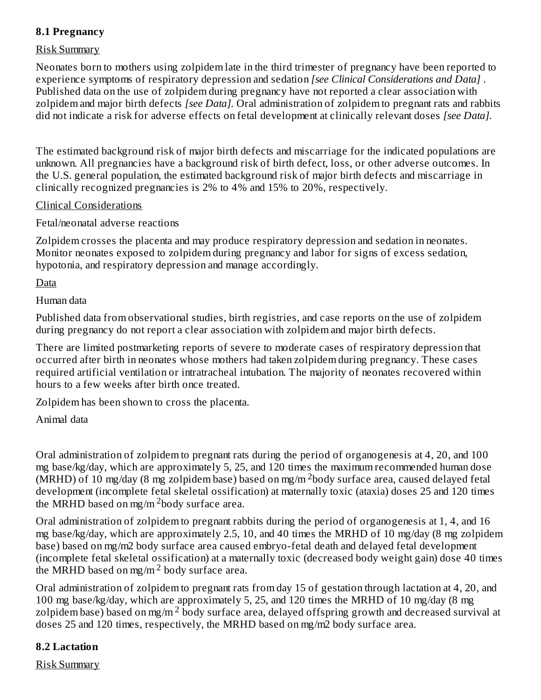### **8.1 Pregnancy**

#### Risk Summary

Neonates born to mothers using zolpidem late in the third trimester of pregnancy have been reported to experience symptoms of respiratory depression and sedation *[see Clinical Considerations and Data]* . Published data on the use of zolpidem during pregnancy have not reported a clear association with zolpidem and major birth defects *[see Data].* Oral administration of zolpidem to pregnant rats and rabbits did not indicate a risk for adverse effects on fetal development at clinically relevant doses *[see Data].*

The estimated background risk of major birth defects and miscarriage for the indicated populations are unknown. All pregnancies have a background risk of birth defect, loss, or other adverse outcomes. In the U.S. general population, the estimated background risk of major birth defects and miscarriage in clinically recognized pregnancies is 2% to 4% and 15% to 20%, respectively.

#### Clinical Considerations

Fetal/neonatal adverse reactions

Zolpidem crosses the placenta and may produce respiratory depression and sedation in neonates. Monitor neonates exposed to zolpidem during pregnancy and labor for signs of excess sedation, hypotonia, and respiratory depression and manage accordingly.

Data

Human data

Published data from observational studies, birth registries, and case reports on the use of zolpidem during pregnancy do not report a clear association with zolpidem and major birth defects.

There are limited postmarketing reports of severe to moderate cases of respiratory depression that occurred after birth in neonates whose mothers had taken zolpidem during pregnancy. These cases required artificial ventilation or intratracheal intubation. The majority of neonates recovered within hours to a few weeks after birth once treated.

Zolpidem has been shown to cross the placenta.

#### Animal data

Oral administration of zolpidem to pregnant rats during the period of organogenesis at 4, 20, and 100 mg base/kg/day, which are approximately 5, 25, and 120 times the maximum recommended human dose  $(MRHD)$  of 10 mg/day (8 mg zolpidem base) based on mg/m  $2$ body surface area, caused delayed fetal development (incomplete fetal skeletal ossification) at maternally toxic (ataxia) doses 25 and 120 times the MRHD based on mg/m  $^2$ body surface area.

Oral administration of zolpidem to pregnant rabbits during the period of organogenesis at 1, 4, and 16 mg base/kg/day, which are approximately 2.5, 10, and 40 times the MRHD of 10 mg/day (8 mg zolpidem base) based on mg/m2 body surface area caused embryo-fetal death and delayed fetal development (incomplete fetal skeletal ossification) at a maternally toxic (decreased body weight gain) dose 40 times the MRHD based on mg/m<sup>2</sup> body surface area.

Oral administration of zolpidem to pregnant rats from day 15 of gestation through lactation at 4, 20, and 100 mg base/kg/day, which are approximately 5, 25, and 120 times the MRHD of 10 mg/day (8 mg zolpidem base) based on mg/m  $^2$  body surface area, delayed offspring growth and decreased survival at doses 25 and 120 times, respectively, the MRHD based on mg/m2 body surface area.

#### **8.2 Lactation**

Risk Summary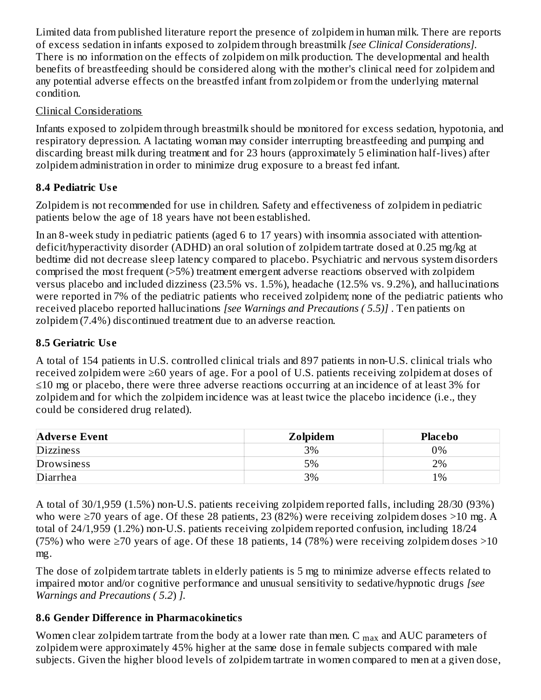Limited data from published literature report the presence of zolpidem in human milk. There are reports of excess sedation in infants exposed to zolpidem through breastmilk *[see Clinical Considerations].* There is no information on the effects of zolpidem on milk production. The developmental and health benefits of breastfeeding should be considered along with the mother's clinical need for zolpidem and any potential adverse effects on the breastfed infant from zolpidem or from the underlying maternal condition.

### Clinical Considerations

Infants exposed to zolpidem through breastmilk should be monitored for excess sedation, hypotonia, and respiratory depression. A lactating woman may consider interrupting breastfeeding and pumping and discarding breast milk during treatment and for 23 hours (approximately 5 elimination half-lives) after zolpidem administration in order to minimize drug exposure to a breast fed infant.

## **8.4 Pediatric Us e**

Zolpidem is not recommended for use in children. Safety and effectiveness of zolpidem in pediatric patients below the age of 18 years have not been established.

In an 8-week study in pediatric patients (aged 6 to 17 years) with insomnia associated with attentiondeficit/hyperactivity disorder (ADHD) an oral solution of zolpidem tartrate dosed at 0.25 mg/kg at bedtime did not decrease sleep latency compared to placebo. Psychiatric and nervous system disorders comprised the most frequent (>5%) treatment emergent adverse reactions observed with zolpidem versus placebo and included dizziness (23.5% vs. 1.5%), headache (12.5% vs. 9.2%), and hallucinations were reported in 7% of the pediatric patients who received zolpidem; none of the pediatric patients who received placebo reported hallucinations *[see Warnings and Precautions ( 5.5)]* . Ten patients on zolpidem (7.4%) discontinued treatment due to an adverse reaction.

# **8.5 Geriatric Us e**

A total of 154 patients in U.S. controlled clinical trials and 897 patients in non-U.S. clinical trials who received zolpidem were ≥60 years of age. For a pool of U.S. patients receiving zolpidem at doses of ≤10 mg or placebo, there were three adverse reactions occurring at an incidence of at least 3% for zolpidem and for which the zolpidem incidence was at least twice the placebo incidence (i.e., they could be considered drug related).

| <b>Adverse Event</b> | Zolpidem | <b>Placebo</b> |
|----------------------|----------|----------------|
| <b>Dizziness</b>     | 3%       | 0%             |
| Drowsiness           | 5%       | 2%             |
| Diarrhea             | 3%       | $1\%$          |

A total of 30/1,959 (1.5%) non-U.S. patients receiving zolpidem reported falls, including 28/30 (93%) who were ≥70 years of age. Of these 28 patients, 23 (82%) were receiving zolpidem doses >10 mg. A total of 24/1,959 (1.2%) non-U.S. patients receiving zolpidem reported confusion, including 18/24 (75%) who were  $\geq$  70 years of age. Of these 18 patients, 14 (78%) were receiving zolpidem doses  $>$ 10 mg.

The dose of zolpidem tartrate tablets in elderly patients is 5 mg to minimize adverse effects related to impaired motor and/or cognitive performance and unusual sensitivity to sedative/hypnotic drugs *[see Warnings and Precautions ( 5.2*) *].*

## **8.6 Gender Difference in Pharmacokinetics**

Women clear zolpidem tartrate from the body at a lower rate than men. C  $_{\rm max}$  and AUC parameters of zolpidem were approximately 45% higher at the same dose in female subjects compared with male subjects. Given the higher blood levels of zolpidem tartrate in women compared to men at a given dose,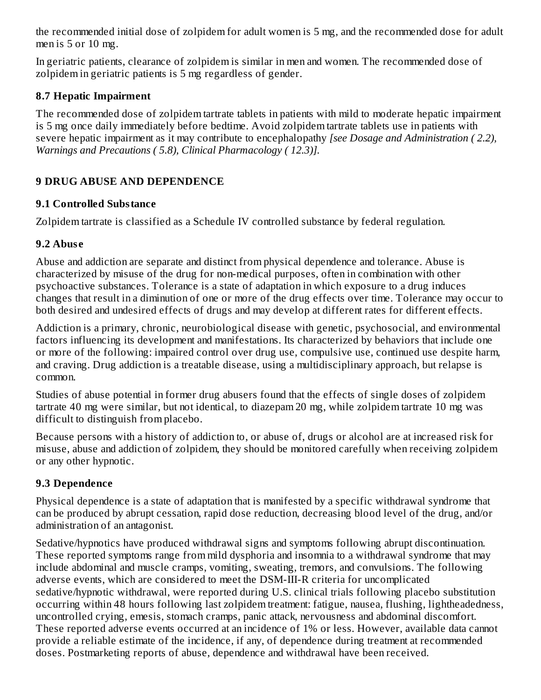the recommended initial dose of zolpidem for adult women is 5 mg, and the recommended dose for adult men is 5 or 10 mg.

In geriatric patients, clearance of zolpidem is similar in men and women. The recommended dose of zolpidem in geriatric patients is 5 mg regardless of gender.

#### **8.7 Hepatic Impairment**

The recommended dose of zolpidem tartrate tablets in patients with mild to moderate hepatic impairment is 5 mg once daily immediately before bedtime. Avoid zolpidem tartrate tablets use in patients with severe hepatic impairment as it may contribute to encephalopathy *[see Dosage and Administration ( 2.2), Warnings and Precautions ( 5.8), Clinical Pharmacology ( 12.3)].*

## **9 DRUG ABUSE AND DEPENDENCE**

### **9.1 Controlled Substance**

Zolpidem tartrate is classified as a Schedule IV controlled substance by federal regulation.

### **9.2 Abus e**

Abuse and addiction are separate and distinct from physical dependence and tolerance. Abuse is characterized by misuse of the drug for non-medical purposes, often in combination with other psychoactive substances. Tolerance is a state of adaptation in which exposure to a drug induces changes that result in a diminution of one or more of the drug effects over time. Tolerance may occur to both desired and undesired effects of drugs and may develop at different rates for different effects.

Addiction is a primary, chronic, neurobiological disease with genetic, psychosocial, and environmental factors influencing its development and manifestations. Its characterized by behaviors that include one or more of the following: impaired control over drug use, compulsive use, continued use despite harm, and craving. Drug addiction is a treatable disease, using a multidisciplinary approach, but relapse is common.

Studies of abuse potential in former drug abusers found that the effects of single doses of zolpidem tartrate 40 mg were similar, but not identical, to diazepam 20 mg, while zolpidem tartrate 10 mg was difficult to distinguish from placebo.

Because persons with a history of addiction to, or abuse of, drugs or alcohol are at increased risk for misuse, abuse and addiction of zolpidem, they should be monitored carefully when receiving zolpidem or any other hypnotic.

## **9.3 Dependence**

Physical dependence is a state of adaptation that is manifested by a specific withdrawal syndrome that can be produced by abrupt cessation, rapid dose reduction, decreasing blood level of the drug, and/or administration of an antagonist.

Sedative/hypnotics have produced withdrawal signs and symptoms following abrupt discontinuation. These reported symptoms range from mild dysphoria and insomnia to a withdrawal syndrome that may include abdominal and muscle cramps, vomiting, sweating, tremors, and convulsions. The following adverse events, which are considered to meet the DSM-III-R criteria for uncomplicated sedative/hypnotic withdrawal, were reported during U.S. clinical trials following placebo substitution occurring within 48 hours following last zolpidem treatment: fatigue, nausea, flushing, lightheadedness, uncontrolled crying, emesis, stomach cramps, panic attack, nervousness and abdominal discomfort. These reported adverse events occurred at an incidence of 1% or less. However, available data cannot provide a reliable estimate of the incidence, if any, of dependence during treatment at recommended doses. Postmarketing reports of abuse, dependence and withdrawal have been received.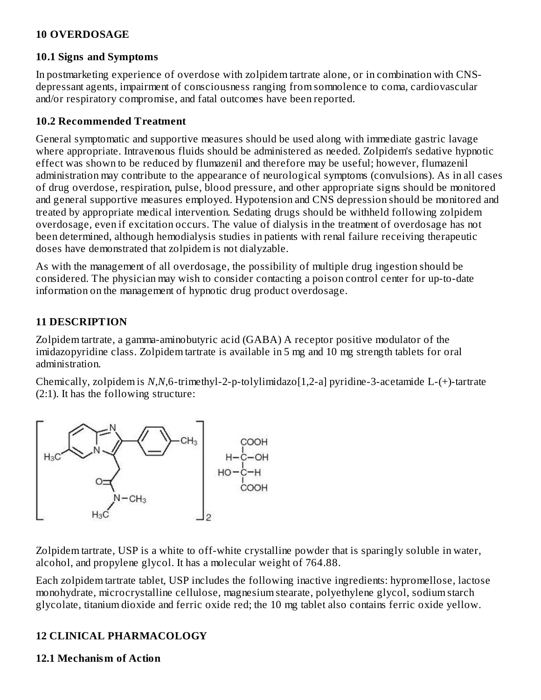#### **10 OVERDOSAGE**

#### **10.1 Signs and Symptoms**

In postmarketing experience of overdose with zolpidem tartrate alone, or in combination with CNSdepressant agents, impairment of consciousness ranging from somnolence to coma, cardiovascular and/or respiratory compromise, and fatal outcomes have been reported.

#### **10.2 Recommended Treatment**

General symptomatic and supportive measures should be used along with immediate gastric lavage where appropriate. Intravenous fluids should be administered as needed. Zolpidem's sedative hypnotic effect was shown to be reduced by flumazenil and therefore may be useful; however, flumazenil administration may contribute to the appearance of neurological symptoms (convulsions). As in all cases of drug overdose, respiration, pulse, blood pressure, and other appropriate signs should be monitored and general supportive measures employed. Hypotension and CNS depression should be monitored and treated by appropriate medical intervention. Sedating drugs should be withheld following zolpidem overdosage, even if excitation occurs. The value of dialysis in the treatment of overdosage has not been determined, although hemodialysis studies in patients with renal failure receiving therapeutic doses have demonstrated that zolpidem is not dialyzable.

As with the management of all overdosage, the possibility of multiple drug ingestion should be considered. The physician may wish to consider contacting a poison control center for up-to-date information on the management of hypnotic drug product overdosage.

#### **11 DESCRIPTION**

Zolpidem tartrate, a gamma-aminobutyric acid (GABA) A receptor positive modulator of the imidazopyridine class. Zolpidem tartrate is available in 5 mg and 10 mg strength tablets for oral administration.

Chemically, zolpidem is *N,N*,6-trimethyl-2-p-tolylimidazo[1,2-a] pyridine-3-acetamide L-(+)-tartrate (2:1). It has the following structure:



Zolpidem tartrate, USP is a white to off-white crystalline powder that is sparingly soluble in water, alcohol, and propylene glycol. It has a molecular weight of 764.88.

Each zolpidem tartrate tablet, USP includes the following inactive ingredients: hypromellose, lactose monohydrate, microcrystalline cellulose, magnesium stearate, polyethylene glycol, sodium starch glycolate, titanium dioxide and ferric oxide red; the 10 mg tablet also contains ferric oxide yellow.

#### **12 CLINICAL PHARMACOLOGY**

#### **12.1 Mechanism of Action**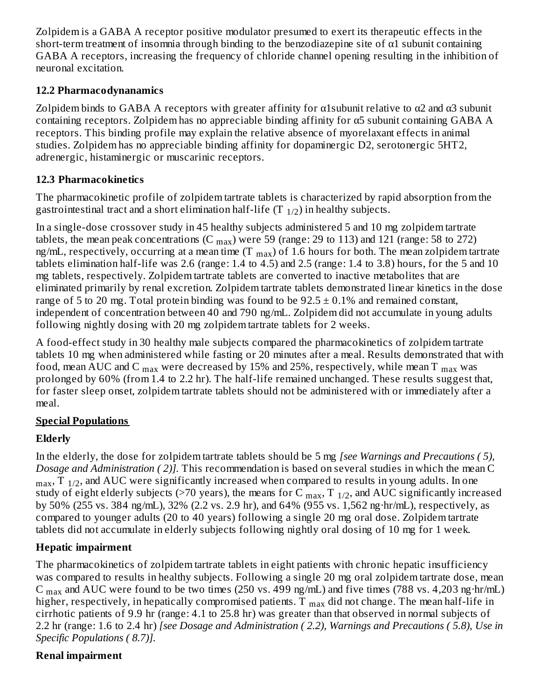Zolpidem is a GABA A receptor positive modulator presumed to exert its therapeutic effects in the short-term treatment of insomnia through binding to the benzodiazepine site of  $\alpha$ 1 subunit containing GABA A receptors, increasing the frequency of chloride channel opening resulting in the inhibition of neuronal excitation.

### **12.2 Pharmacodynanamics**

Zolpidem binds to GABA A receptors with greater affinity for  $\alpha$ 1 subunit relative to  $\alpha$ 2 and  $\alpha$ 3 subunit containing receptors. Zolpidem has no appreciable binding affinity for α5 subunit containing GABA A receptors. This binding profile may explain the relative absence of myorelaxant effects in animal studies. Zolpidem has no appreciable binding affinity for dopaminergic D2, serotonergic 5HT2, adrenergic, histaminergic or muscarinic receptors.

## **12.3 Pharmacokinetics**

The pharmacokinetic profile of zolpidem tartrate tablets is characterized by rapid absorption from the gastrointestinal tract and a short elimination half-life (T  $_{\rm 1/2})$  in healthy subjects.

In a single-dose crossover study in 45 healthy subjects administered 5 and 10 mg zolpidem tartrate tablets, the mean peak concentrations (C  $_{\rm max}$ ) were 59 (range: 29 to 113) and 121 (range: 58 to 272) ng/mL, respectively, occurring at a mean time (T  $_{\rm max}$ ) of 1.6 hours for both. The mean zolpidem tartrate tablets elimination half-life was 2.6 (range: 1.4 to 4.5) and 2.5 (range: 1.4 to 3.8) hours, for the 5 and 10 mg tablets, respectively. Zolpidem tartrate tablets are converted to inactive metabolites that are eliminated primarily by renal excretion. Zolpidem tartrate tablets demonstrated linear kinetics in the dose range of 5 to 20 mg. Total protein binding was found to be  $92.5 \pm 0.1\%$  and remained constant, independent of concentration between 40 and 790 ng/mL. Zolpidem did not accumulate in young adults following nightly dosing with 20 mg zolpidem tartrate tablets for 2 weeks.

A food-effect study in 30 healthy male subjects compared the pharmacokinetics of zolpidem tartrate tablets 10 mg when administered while fasting or 20 minutes after a meal. Results demonstrated that with food, mean AUC and C  $_{\rm max}$  were decreased by 15% and 25%, respectively, while mean T  $_{\rm max}$  was prolonged by 60% (from 1.4 to 2.2 hr). The half-life remained unchanged. These results suggest that, for faster sleep onset, zolpidem tartrate tablets should not be administered with or immediately after a meal.

## **Special Populations**

## **Elderly**

In the elderly, the dose for zolpidem tartrate tablets should be 5 mg *[see Warnings and Precautions ( 5), Dosage and Administration ( 2)].* This recommendation is based on several studies in which the mean C  $_{\rm max}$ , T  $_{\rm 1/2}$ , and AUC were significantly increased when compared to results in young adults. In one study of eight elderly subjects (>70 years), the means for C  $_{\rm max}$ , T  $_{1/2}$ , and AUC significantly increased by 50% (255 vs. 384 ng/mL), 32% (2.2 vs. 2.9 hr), and 64% (955 vs. 1,562 ng·hr/mL), respectively, as compared to younger adults (20 to 40 years) following a single 20 mg oral dose. Zolpidem tartrate tablets did not accumulate in elderly subjects following nightly oral dosing of 10 mg for 1 week.

## **Hepatic impairment**

The pharmacokinetics of zolpidem tartrate tablets in eight patients with chronic hepatic insufficiency was compared to results in healthy subjects. Following a single 20 mg oral zolpidem tartrate dose, mean C  $_{\text{max}}$  and AUC were found to be two times (250 vs. 499 ng/mL) and five times (788 vs. 4,203 ng·hr/mL) higher, respectively, in hepatically compromised patients. T  $_{\rm max}$  did not change. The mean half-life in cirrhotic patients of 9.9 hr (range: 4.1 to 25.8 hr) was greater than that observed in normal subjects of 2.2 hr (range: 1.6 to 2.4 hr) *[see Dosage and Administration ( 2.2), Warnings and Precautions ( 5.8), Use in Specific Populations ( 8.7)].*

## **Renal impairment**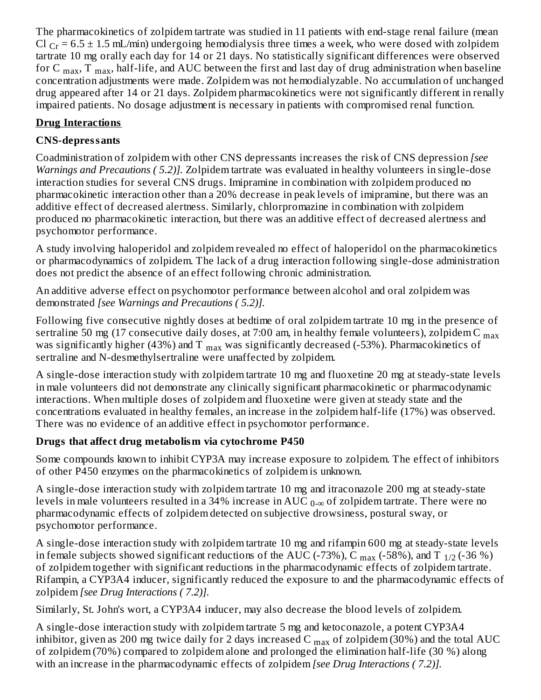The pharmacokinetics of zolpidem tartrate was studied in 11 patients with end-stage renal failure (mean Cl  $_{Cr}$  = 6.5  $\pm$  1.5 mL/min) undergoing hemodialysis three times a week, who were dosed with zolpidem tartrate 10 mg orally each day for 14 or 21 days. No statistically significant differences were observed for C  $_{\rm max}$ , T  $_{\rm max}$ , half-life, and AUC between the first and last day of drug administration when baseline concentration adjustments were made. Zolpidem was not hemodialyzable. No accumulation of unchanged drug appeared after 14 or 21 days. Zolpidem pharmacokinetics were not significantly different in renally impaired patients. No dosage adjustment is necessary in patients with compromised renal function.

## **Drug Interactions**

# **CNS-depressants**

Coadministration of zolpidem with other CNS depressants increases the risk of CNS depression *[see Warnings and Precautions ( 5.2)].* Zolpidem tartrate was evaluated in healthy volunteers in single-dose interaction studies for several CNS drugs. Imipramine in combination with zolpidem produced no pharmacokinetic interaction other than a 20% decrease in peak levels of imipramine, but there was an additive effect of decreased alertness. Similarly, chlorpromazine in combination with zolpidem produced no pharmacokinetic interaction, but there was an additive effect of decreased alertness and psychomotor performance.

A study involving haloperidol and zolpidem revealed no effect of haloperidol on the pharmacokinetics or pharmacodynamics of zolpidem. The lack of a drug interaction following single-dose administration does not predict the absence of an effect following chronic administration.

An additive adverse effect on psychomotor performance between alcohol and oral zolpidem was demonstrated *[see Warnings and Precautions ( 5.2)].*

Following five consecutive nightly doses at bedtime of oral zolpidem tartrate 10 mg in the presence of sertraline 50 mg (17 consecutive daily doses, at 7:00 am, in healthy female volunteers), zolpidem C  $_{\rm max}$ was significantly higher (43%) and T  $_{\rm max}$  was significantly decreased (-53%). Pharmacokinetics of sertraline and N-desmethylsertraline were unaffected by zolpidem.

A single-dose interaction study with zolpidem tartrate 10 mg and fluoxetine 20 mg at steady-state levels in male volunteers did not demonstrate any clinically significant pharmacokinetic or pharmacodynamic interactions. When multiple doses of zolpidem and fluoxetine were given at steady state and the concentrations evaluated in healthy females, an increase in the zolpidem half-life (17%) was observed. There was no evidence of an additive effect in psychomotor performance.

# **Drugs that affect drug metabolism via cytochrome P450**

Some compounds known to inhibit CYP3A may increase exposure to zolpidem. The effect of inhibitors of other P450 enzymes on the pharmacokinetics of zolpidem is unknown.

A single-dose interaction study with zolpidem tartrate 10 mg and itraconazole 200 mg at steady-state levels in male volunteers resulted in a 34% increase in AUC  $_{0\text{-}\infty}$  of zolpidem tartrate. There were no pharmacodynamic effects of zolpidem detected on subjective drowsiness, postural sway, or psychomotor performance.

A single-dose interaction study with zolpidem tartrate 10 mg and rifampin 600 mg at steady-state levels in female subjects showed significant reductions of the AUC (-73%), C  $_{\rm max}$  (-58%), and T  $_{1/2}$  (-36 %) of zolpidem together with significant reductions in the pharmacodynamic effects of zolpidem tartrate. Rifampin, a CYP3A4 inducer, significantly reduced the exposure to and the pharmacodynamic effects of zolpidem *[see Drug Interactions ( 7.2)].*

Similarly, St. John's wort, a CYP3A4 inducer, may also decrease the blood levels of zolpidem.

A single-dose interaction study with zolpidem tartrate 5 mg and ketoconazole, a potent CYP3A4 inhibitor, given as 200 mg twice daily for 2 days increased C  $_{\rm max}$  of zolpidem (30%) and the total AUC of zolpidem (70%) compared to zolpidem alone and prolonged the elimination half-life (30 %) along with an increase in the pharmacodynamic effects of zolpidem *[see Drug Interactions ( 7.2)].*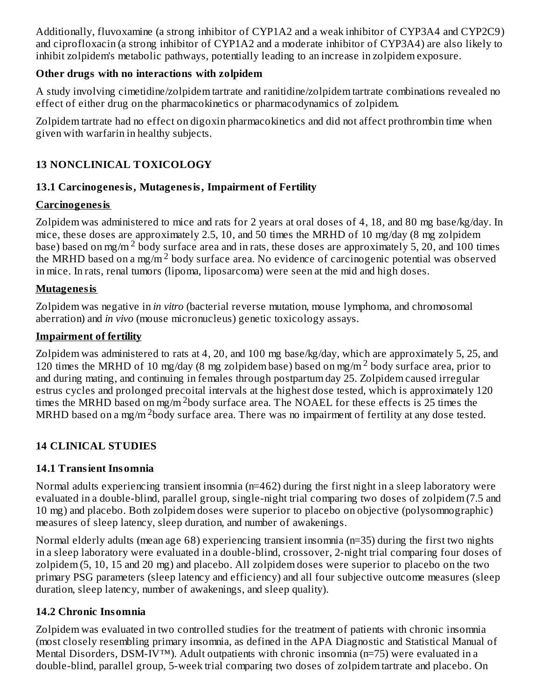Additionally, fluvoxamine (a strong inhibitor of CYP1A2 and a weak inhibitor of CYP3A4 and CYP2C9) and ciprofloxacin (a strong inhibitor of CYP1A2 and a moderate inhibitor of CYP3A4) are also likely to inhibit zolpidem's metabolic pathways, potentially leading to an increase in zolpidem exposure.

### **Other drugs with no interactions with zolpidem**

A study involving cimetidine/zolpidem tartrate and ranitidine/zolpidem tartrate combinations revealed no effect of either drug on the pharmacokinetics or pharmacodynamics of zolpidem.

Zolpidem tartrate had no effect on digoxin pharmacokinetics and did not affect prothrombin time when given with warfarin in healthy subjects.

## **13 NONCLINICAL TOXICOLOGY**

### **13.1 Carcinogenesis, Mutagenesis, Impairment of Fertility**

### **Carcinogenesis**

Zolpidem was administered to mice and rats for 2 years at oral doses of 4, 18, and 80 mg base/kg/day. In mice, these doses are approximately 2.5, 10, and 50 times the MRHD of 10 mg/day (8 mg zolpidem base) based on mg/m<sup>2</sup> body surface area and in rats, these doses are approximately 5, 20, and 100 times the MRHD based on a mg/m<sup>2</sup> body surface area. No evidence of carcinogenic potential was observed in mice. In rats, renal tumors (lipoma, liposarcoma) were seen at the mid and high doses.

### **Mutagenesis**

Zolpidem was negative in *in vitro* (bacterial reverse mutation, mouse lymphoma, and chromosomal aberration) and *in vivo* (mouse micronucleus) genetic toxicology assays.

### **Impairment of fertility**

Zolpidem was administered to rats at 4, 20, and 100 mg base/kg/day, which are approximately 5, 25, and 120 times the MRHD of 10 mg/day (8 mg zolpidem base) based on mg/m<sup>2</sup> body surface area, prior to and during mating, and continuing in females through postpartum day 25. Zolpidem caused irregular estrus cycles and prolonged precoital intervals at the highest dose tested, which is approximately 120 times the MRHD based on mg/m  $2$ body surface area. The NOAEL for these effects is 25 times the MRHD based on a mg/m  $^2$ body surface area. There was no impairment of fertility at any dose tested.

## **14 CLINICAL STUDIES**

### **14.1 Transient Insomnia**

Normal adults experiencing transient insomnia (n=462) during the first night in a sleep laboratory were evaluated in a double-blind, parallel group, single-night trial comparing two doses of zolpidem (7.5 and 10 mg) and placebo. Both zolpidem doses were superior to placebo on objective (polysomnographic) measures of sleep latency, sleep duration, and number of awakenings.

Normal elderly adults (mean age 68) experiencing transient insomnia (n=35) during the first two nights in a sleep laboratory were evaluated in a double-blind, crossover, 2-night trial comparing four doses of zolpidem (5, 10, 15 and 20 mg) and placebo. All zolpidem doses were superior to placebo on the two primary PSG parameters (sleep latency and efficiency) and all four subjective outcome measures (sleep duration, sleep latency, number of awakenings, and sleep quality).

## **14.2 Chronic Insomnia**

Zolpidem was evaluated in two controlled studies for the treatment of patients with chronic insomnia (most closely resembling primary insomnia, as defined in the APA Diagnostic and Statistical Manual of Mental Disorders, DSM-IV™). Adult outpatients with chronic insomnia (n=75) were evaluated in a double-blind, parallel group, 5-week trial comparing two doses of zolpidem tartrate and placebo. On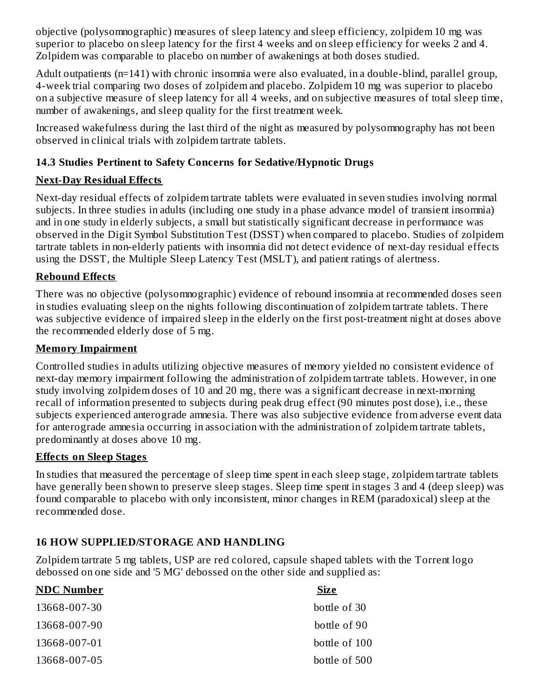objective (polysomnographic) measures of sleep latency and sleep efficiency, zolpidem 10 mg was superior to placebo on sleep latency for the first 4 weeks and on sleep efficiency for weeks 2 and 4. Zolpidem was comparable to placebo on number of awakenings at both doses studied.

Adult outpatients (n=141) with chronic insomnia were also evaluated, in a double-blind, parallel group, 4-week trial comparing two doses of zolpidem and placebo. Zolpidem 10 mg was superior to placebo on a subjective measure of sleep latency for all 4 weeks, and on subjective measures of total sleep time, number of awakenings, and sleep quality for the first treatment week.

Increased wakefulness during the last third of the night as measured by polysomnography has not been observed in clinical trials with zolpidem tartrate tablets.

## **14.3 Studies Pertinent to Safety Concerns for Sedative/Hypnotic Drugs**

## **Next-Day Residual Effects**

Next-day residual effects of zolpidem tartrate tablets were evaluated in seven studies involving normal subjects. In three studies in adults (including one study in a phase advance model of transient insomnia) and in one study in elderly subjects, a small but statistically significant decrease in performance was observed in the Digit Symbol Substitution Test (DSST) when compared to placebo. Studies of zolpidem tartrate tablets in non-elderly patients with insomnia did not detect evidence of next-day residual effects using the DSST, the Multiple Sleep Latency Test (MSLT), and patient ratings of alertness.

## **Rebound Effects**

There was no objective (polysomnographic) evidence of rebound insomnia at recommended doses seen in studies evaluating sleep on the nights following discontinuation of zolpidem tartrate tablets. There was subjective evidence of impaired sleep in the elderly on the first post-treatment night at doses above the recommended elderly dose of 5 mg.

## **Memory Impairment**

Controlled studies in adults utilizing objective measures of memory yielded no consistent evidence of next-day memory impairment following the administration of zolpidem tartrate tablets. However, in one study involving zolpidem doses of 10 and 20 mg, there was a significant decrease in next-morning recall of information presented to subjects during peak drug effect (90 minutes post dose), i.e., these subjects experienced anterograde amnesia. There was also subjective evidence from adverse event data for anterograde amnesia occurring in association with the administration of zolpidem tartrate tablets, predominantly at doses above 10 mg.

### **Effects on Sleep Stages**

In studies that measured the percentage of sleep time spent in each sleep stage, zolpidem tartrate tablets have generally been shown to preserve sleep stages. Sleep time spent in stages 3 and 4 (deep sleep) was found comparable to placebo with only inconsistent, minor changes in REM (paradoxical) sleep at the recommended dose.

## **16 HOW SUPPLIED/STORAGE AND HANDLING**

Zolpidem tartrate 5 mg tablets, USP are red colored, capsule shaped tablets with the Torrent logo debossed on one side and '5 MG' debossed on the other side and supplied as:

| <b>Size</b>   |
|---------------|
| bottle of 30  |
| bottle of 90  |
| bottle of 100 |
| bottle of 500 |
|               |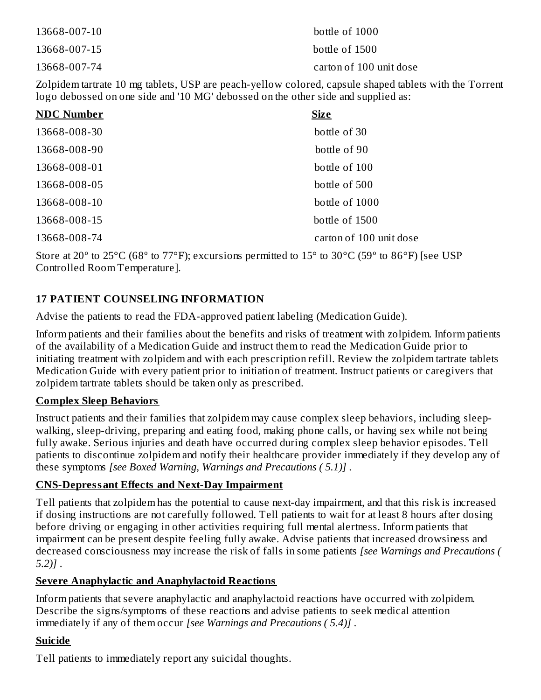| 13668-007-10 | bottle of 1000          |
|--------------|-------------------------|
| 13668-007-15 | bottle of 1500          |
| 13668-007-74 | carton of 100 unit dose |

Zolpidem tartrate 10 mg tablets, USP are peach-yellow colored, capsule shaped tablets with the Torrent logo debossed on one side and '10 MG' debossed on the other side and supplied as:

| <b>NDC Number</b> | <b>Size</b>             |
|-------------------|-------------------------|
| 13668-008-30      | bottle of 30            |
| 13668-008-90      | bottle of 90            |
| 13668-008-01      | bottle of 100           |
| 13668-008-05      | bottle of 500           |
| 13668-008-10      | bottle of 1000          |
| 13668-008-15      | bottle of 1500          |
| 13668-008-74      | carton of 100 unit dose |

Store at 20 $^{\circ}$  to 25 $^{\circ}$ C (68 $^{\circ}$  to 77 $^{\circ}$ F); excursions permitted to 15 $^{\circ}$  to 30 $^{\circ}$ C (59 $^{\circ}$  to 86 $^{\circ}$ F) [see USP Controlled Room Temperature].

## **17 PATIENT COUNSELING INFORMATION**

Advise the patients to read the FDA-approved patient labeling (Medication Guide).

Inform patients and their families about the benefits and risks of treatment with zolpidem. Inform patients of the availability of a Medication Guide and instruct them to read the Medication Guide prior to initiating treatment with zolpidem and with each prescription refill. Review the zolpidem tartrate tablets Medication Guide with every patient prior to initiation of treatment. Instruct patients or caregivers that zolpidem tartrate tablets should be taken only as prescribed.

#### **Complex Sleep Behaviors**

Instruct patients and their families that zolpidem may cause complex sleep behaviors, including sleepwalking, sleep-driving, preparing and eating food, making phone calls, or having sex while not being fully awake. Serious injuries and death have occurred during complex sleep behavior episodes. Tell patients to discontinue zolpidem and notify their healthcare provider immediately if they develop any of these symptoms *[see Boxed Warning, Warnings and Precautions ( 5.1)]* .

#### **CNS-Depressant Effects and Next-Day Impairment**

Tell patients that zolpidem has the potential to cause next-day impairment, and that this risk is increased if dosing instructions are not carefully followed. Tell patients to wait for at least 8 hours after dosing before driving or engaging in other activities requiring full mental alertness. Inform patients that impairment can be present despite feeling fully awake. Advise patients that increased drowsiness and decreased consciousness may increase the risk of falls in some patients *[see Warnings and Precautions ( 5.2)]* .

### **Severe Anaphylactic and Anaphylactoid Reactions**

Inform patients that severe anaphylactic and anaphylactoid reactions have occurred with zolpidem. Describe the signs/symptoms of these reactions and advise patients to seek medical attention immediately if any of them occur *[see Warnings and Precautions ( 5.4)]* .

### **Suicide**

Tell patients to immediately report any suicidal thoughts.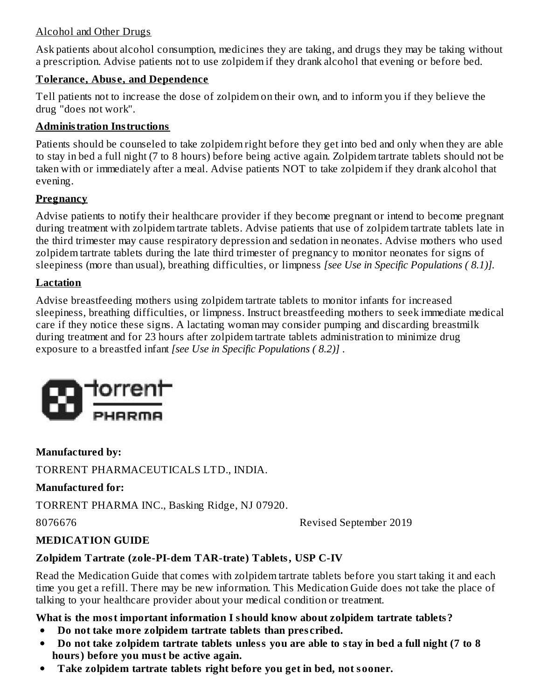#### Alcohol and Other Drugs

Ask patients about alcohol consumption, medicines they are taking, and drugs they may be taking without a prescription. Advise patients not to use zolpidem if they drank alcohol that evening or before bed.

#### **Tolerance, Abus e, and Dependence**

Tell patients not to increase the dose of zolpidem on their own, and to inform you if they believe the drug "does not work".

#### **Administration Instructions**

Patients should be counseled to take zolpidem right before they get into bed and only when they are able to stay in bed a full night (7 to 8 hours) before being active again. Zolpidem tartrate tablets should not be taken with or immediately after a meal. Advise patients NOT to take zolpidem if they drank alcohol that evening.

#### **Pregnancy**

Advise patients to notify their healthcare provider if they become pregnant or intend to become pregnant during treatment with zolpidem tartrate tablets. Advise patients that use of zolpidem tartrate tablets late in the third trimester may cause respiratory depression and sedation in neonates. Advise mothers who used zolpidem tartrate tablets during the late third trimester of pregnancy to monitor neonates for signs of sleepiness (more than usual), breathing difficulties, or limpness *[see Use in Specific Populations ( 8.1)].*

#### **Lactation**

Advise breastfeeding mothers using zolpidem tartrate tablets to monitor infants for increased sleepiness, breathing difficulties, or limpness. Instruct breastfeeding mothers to seek immediate medical care if they notice these signs. A lactating woman may consider pumping and discarding breastmilk during treatment and for 23 hours after zolpidem tartrate tablets administration to minimize drug exposure to a breastfed infant *[see Use in Specific Populations ( 8.2)]* .



**Manufactured by:**

TORRENT PHARMACEUTICALS LTD., INDIA.

#### **Manufactured for:**

TORRENT PHARMA INC., Basking Ridge, NJ 07920.

8076676 Revised September 2019

### **MEDICATION GUIDE**

### **Zolpidem Tartrate (zole-PI-dem TAR-trate) Tablets, USP C-IV**

Read the Medication Guide that comes with zolpidem tartrate tablets before you start taking it and each time you get a refill. There may be new information. This Medication Guide does not take the place of talking to your healthcare provider about your medical condition or treatment.

### **What is the most important information I should know about zolpidem tartrate tablets?**

- **Do not take more zolpidem tartrate tablets than pres cribed.**  $\bullet$
- Do not take zolpidem tartrate tablets unless you are able to stay in bed a full night (7 to 8  $\bullet$ **hours) before you must be active again.**
- **Take zolpidem tartrate tablets right before you get in bed, not sooner.** $\bullet$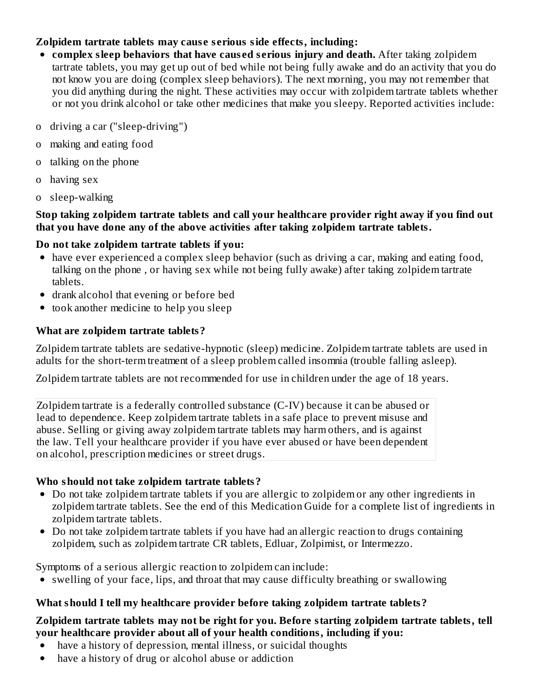#### **Zolpidem tartrate tablets may caus e s erious side effects, including:**

- **complex sleep behaviors that have caus ed s erious injury and death.** After taking zolpidem tartrate tablets, you may get up out of bed while not being fully awake and do an activity that you do not know you are doing (complex sleep behaviors). The next morning, you may not remember that you did anything during the night. These activities may occur with zolpidem tartrate tablets whether or not you drink alcohol or take other medicines that make you sleepy. Reported activities include:
- o driving a car ("sleep-driving")
- o making and eating food
- o talking on the phone
- o having sex
- o sleep-walking

#### **Stop taking zolpidem tartrate tablets and call your healthcare provider right away if you find out that you have done any of the above activities after taking zolpidem tartrate tablets.**

### **Do not take zolpidem tartrate tablets if you:**

- have ever experienced a complex sleep behavior (such as driving a car, making and eating food, talking on the phone , or having sex while not being fully awake) after taking zolpidem tartrate tablets.
- drank alcohol that evening or before bed
- took another medicine to help you sleep

## **What are zolpidem tartrate tablets?**

Zolpidem tartrate tablets are sedative-hypnotic (sleep) medicine. Zolpidem tartrate tablets are used in adults for the short-term treatment of a sleep problem called insomnia (trouble falling asleep).

Zolpidem tartrate tablets are not recommended for use in children under the age of 18 years.

Zolpidem tartrate is a federally controlled substance (C-IV) because it can be abused or lead to dependence. Keep zolpidem tartrate tablets in a safe place to prevent misuse and abuse. Selling or giving away zolpidem tartrate tablets may harm others, and is against the law. Tell your healthcare provider if you have ever abused or have been dependent on alcohol, prescription medicines or street drugs.

### **Who should not take zolpidem tartrate tablets?**

- Do not take zolpidem tartrate tablets if you are allergic to zolpidem or any other ingredients in zolpidem tartrate tablets. See the end of this Medication Guide for a complete list of ingredients in zolpidem tartrate tablets.
- Do not take zolpidem tartrate tablets if you have had an allergic reaction to drugs containing zolpidem, such as zolpidem tartrate CR tablets, Edluar, Zolpimist, or Intermezzo.

Symptoms of a serious allergic reaction to zolpidem can include:

swelling of your face, lips, and throat that may cause difficulty breathing or swallowing

## **What should I tell my healthcare provider before taking zolpidem tartrate tablets?**

#### **Zolpidem tartrate tablets may not be right for you. Before starting zolpidem tartrate tablets, tell your healthcare provider about all of your health conditions, including if you:**

- have a history of depression, mental illness, or suicidal thoughts
- have a history of drug or alcohol abuse or addiction $\bullet$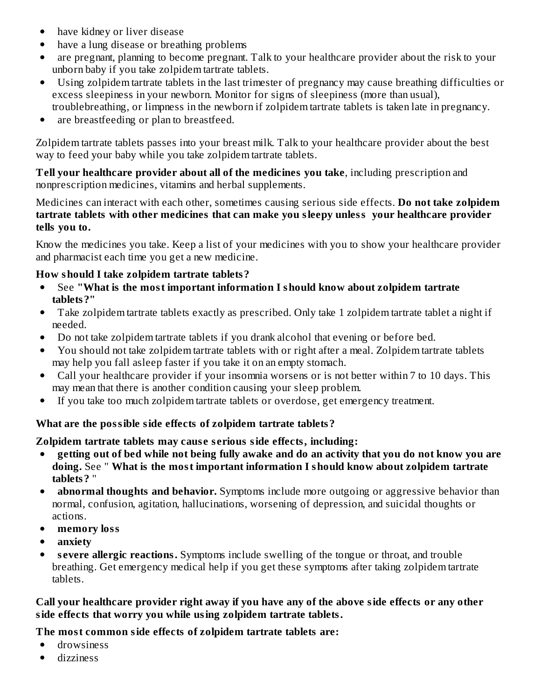- have kidney or liver disease  $\bullet$
- have a lung disease or breathing problems  $\bullet$
- are pregnant, planning to become pregnant. Talk to your healthcare provider about the risk to your unborn baby if you take zolpidem tartrate tablets.
- $\bullet$ Using zolpidem tartrate tablets in the last trimester of pregnancy may cause breathing difficulties or excess sleepiness in your newborn. Monitor for signs of sleepiness (more than usual), troublebreathing, or limpness in the newborn if zolpidem tartrate tablets is taken late in pregnancy.
- are breastfeeding or plan to breastfeed.  $\bullet$

Zolpidem tartrate tablets passes into your breast milk. Talk to your healthcare provider about the best way to feed your baby while you take zolpidem tartrate tablets.

**Tell your healthcare provider about all of the medicines you take**, including prescription and nonprescription medicines, vitamins and herbal supplements.

Medicines can interact with each other, sometimes causing serious side effects. **Do not take zolpidem tartrate tablets with other medicines that can make you sleepy unless your healthcare provider tells you to.**

Know the medicines you take. Keep a list of your medicines with you to show your healthcare provider and pharmacist each time you get a new medicine.

### **How should I take zolpidem tartrate tablets?**

- See **"What is the most important information I should know about zolpidem tartrate**  $\bullet$ **tablets?"**
- Take zolpidem tartrate tablets exactly as prescribed. Only take 1 zolpidem tartrate tablet a night if  $\bullet$ needed.
- Do not take zolpidem tartrate tablets if you drank alcohol that evening or before bed.  $\bullet$
- You should not take zolpidem tartrate tablets with or right after a meal. Zolpidem tartrate tablets  $\bullet$ may help you fall asleep faster if you take it on an empty stomach.
- Call your healthcare provider if your insomnia worsens or is not better within 7 to 10 days. This  $\bullet$ may mean that there is another condition causing your sleep problem.
- If you take too much zolpidem tartrate tablets or overdose, get emergency treatment.  $\bullet$

#### **What are the possible side effects of zolpidem tartrate tablets?**

#### **Zolpidem tartrate tablets may caus e s erious side effects, including:**

- $\bullet$ getting out of bed while not being fully awake and do an activity that you do not know you are **doing.** See " **What is the most important information I should know about zolpidem tartrate tablets?** "
- **abnormal thoughts and behavior.** Symptoms include more outgoing or aggressive behavior than  $\bullet$ normal, confusion, agitation, hallucinations, worsening of depression, and suicidal thoughts or actions.
- **memory loss**
- **anxiety**
- **s evere allergic reactions.** Symptoms include swelling of the tongue or throat, and trouble  $\bullet$ breathing. Get emergency medical help if you get these symptoms after taking zolpidem tartrate tablets.

#### **Call your healthcare provider right away if you have any of the above side effects or any other side effects that worry you while using zolpidem tartrate tablets.**

**The most common side effects of zolpidem tartrate tablets are:**

- drowsiness  $\bullet$
- dizziness $\bullet$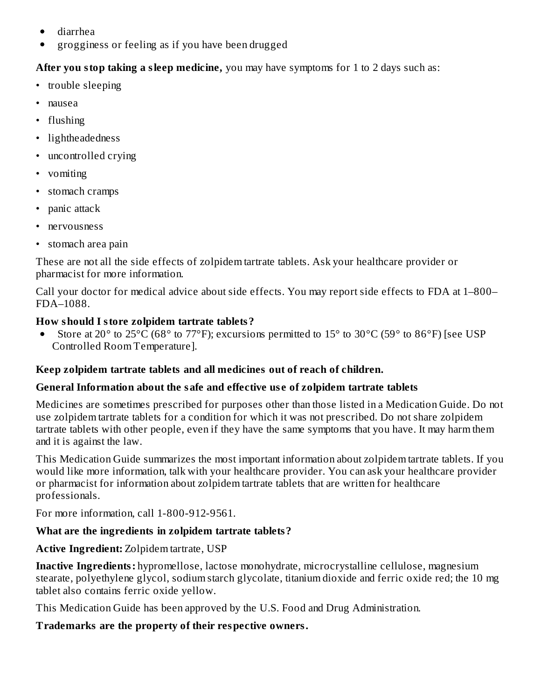- diarrhea
- grogginess or feeling as if you have been drugged

### **After you stop taking a sleep medicine,** you may have symptoms for 1 to 2 days such as:

- trouble sleeping
- nausea
- flushing
- lightheadedness
- uncontrolled crying
- vomiting
- stomach cramps
- panic attack
- nervousness
- stomach area pain

These are not all the side effects of zolpidem tartrate tablets. Ask your healthcare provider or pharmacist for more information.

Call your doctor for medical advice about side effects. You may report side effects to FDA at 1–800– FDA–1088.

## **How should I store zolpidem tartrate tablets?**

Store at 20° to 25°C (68° to 77°F); excursions permitted to 15° to 30°C (59° to 86°F) [see USP  $\bullet$ Controlled Room Temperature].

## **Keep zolpidem tartrate tablets and all medicines out of reach of children.**

## **General Information about the safe and effective us e of zolpidem tartrate tablets**

Medicines are sometimes prescribed for purposes other than those listed in a Medication Guide. Do not use zolpidem tartrate tablets for a condition for which it was not prescribed. Do not share zolpidem tartrate tablets with other people, even if they have the same symptoms that you have. It may harm them and it is against the law.

This Medication Guide summarizes the most important information about zolpidem tartrate tablets. If you would like more information, talk with your healthcare provider. You can ask your healthcare provider or pharmacist for information about zolpidem tartrate tablets that are written for healthcare professionals.

For more information, call 1-800-912-9561.

# **What are the ingredients in zolpidem tartrate tablets?**

# **Active Ingredient:** Zolpidem tartrate, USP

**Inactive Ingredients:** hypromellose, lactose monohydrate, microcrystalline cellulose, magnesium stearate, polyethylene glycol, sodium starch glycolate, titanium dioxide and ferric oxide red; the 10 mg tablet also contains ferric oxide yellow.

This Medication Guide has been approved by the U.S. Food and Drug Administration.

### **Trademarks are the property of their respective owners.**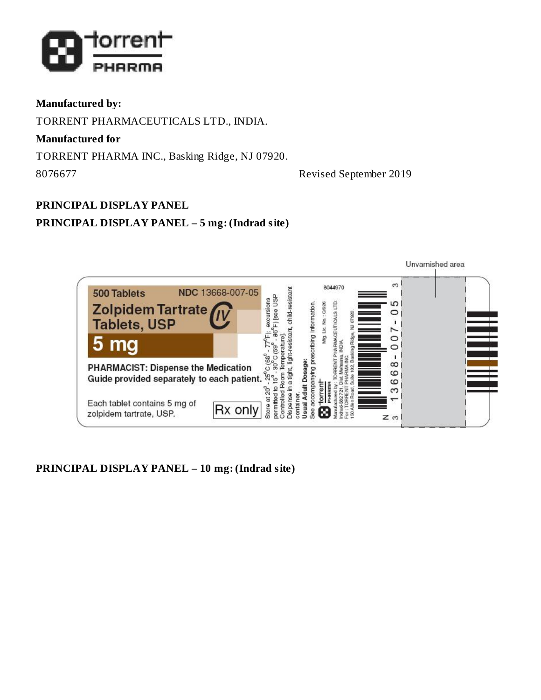

### **Manufactured by:**

TORRENT PHARMACEUTICALS LTD., INDIA.

**Manufactured for**

TORRENT PHARMA INC., Basking Ridge, NJ 07920.

8076677 Revised September 2019

#### **PRINCIPAL DISPLAY PANEL**

### **PRINCIPAL DISPLAY PANEL – 5 mg: (Indrad site)**



### **PRINCIPAL DISPLAY PANEL – 10 mg: (Indrad site)**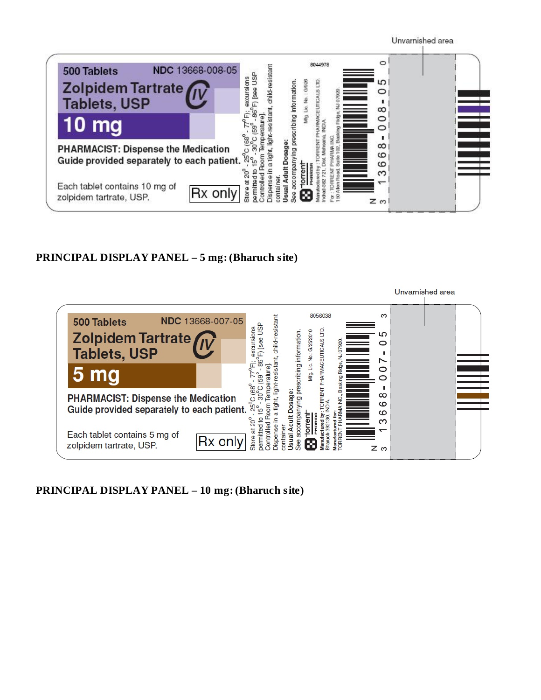

#### **PRINCIPAL DISPLAY PANEL – 5 mg: (Bharuch site)**



**PRINCIPAL DISPLAY PANEL – 10 mg: (Bharuch site)**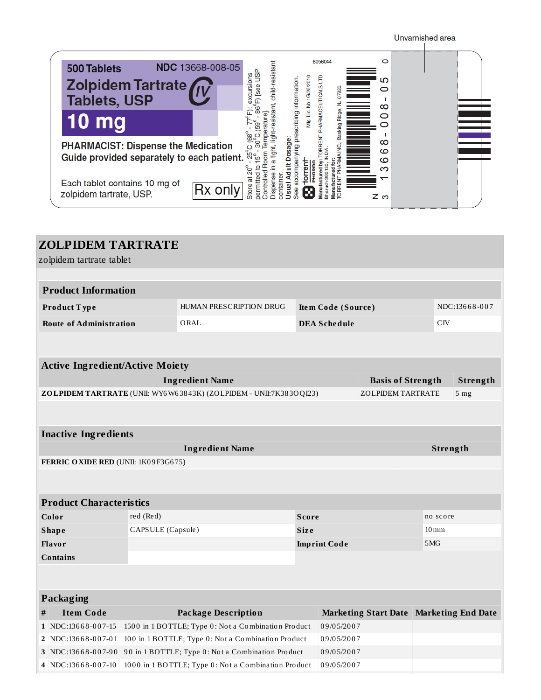Unvarnished area



| <b>ZOLPIDEM TARTRATE</b>               |                                                                   |                                                                   |              |                     |                          |  |                                |                                           |
|----------------------------------------|-------------------------------------------------------------------|-------------------------------------------------------------------|--------------|---------------------|--------------------------|--|--------------------------------|-------------------------------------------|
| zolpidem tartrate tablet               |                                                                   |                                                                   |              |                     |                          |  |                                |                                           |
|                                        |                                                                   |                                                                   |              |                     |                          |  |                                |                                           |
| <b>Product Information</b>             |                                                                   |                                                                   |              |                     |                          |  |                                |                                           |
| Product Type                           |                                                                   | HUMAN PRESCRIPTION DRUG                                           |              | Item Code (Source)  |                          |  |                                | NDC:13668-007                             |
| <b>Route of Administration</b>         |                                                                   | ORAL                                                              |              | <b>DEA Schedule</b> |                          |  | CIV                            |                                           |
|                                        |                                                                   |                                                                   |              |                     |                          |  |                                |                                           |
|                                        |                                                                   |                                                                   |              |                     |                          |  |                                |                                           |
| <b>Active Ingredient/Active Moiety</b> |                                                                   |                                                                   |              |                     |                          |  |                                |                                           |
|                                        |                                                                   | <b>Ingredient Name</b>                                            |              |                     | <b>Basis of Strength</b> |  |                                | Strength                                  |
|                                        |                                                                   | ZOLPIDEM TARTRATE (UNII: WY6W63843K) (ZOLPIDEM - UNII:7K383OQI23) |              |                     | <b>ZOLPIDEM TARTRATE</b> |  |                                | 5 <sub>mg</sub>                           |
|                                        |                                                                   |                                                                   |              |                     |                          |  |                                |                                           |
|                                        |                                                                   |                                                                   |              |                     |                          |  |                                |                                           |
| <b>Inactive Ingredients</b>            |                                                                   |                                                                   |              |                     |                          |  |                                |                                           |
|                                        |                                                                   | <b>Ingredient Name</b>                                            |              |                     |                          |  |                                | Strength                                  |
| FERRIC OXIDE RED (UNII: 1K09F3G675)    |                                                                   |                                                                   |              |                     |                          |  |                                |                                           |
|                                        |                                                                   |                                                                   |              |                     |                          |  |                                |                                           |
| <b>Product Characteristics</b>         |                                                                   |                                                                   |              |                     |                          |  |                                |                                           |
| Color                                  | red (Red)                                                         |                                                                   | <b>Score</b> |                     |                          |  |                                |                                           |
| <b>Shape</b>                           | CAPSULE (Capsule)                                                 |                                                                   | <b>Size</b>  |                     |                          |  | no score<br>$10 \,\mathrm{mm}$ |                                           |
| <b>Flavor</b>                          |                                                                   |                                                                   |              | <b>Imprint Code</b> |                          |  | 5MG                            |                                           |
| <b>Contains</b>                        |                                                                   |                                                                   |              |                     |                          |  |                                |                                           |
|                                        |                                                                   |                                                                   |              |                     |                          |  |                                |                                           |
|                                        |                                                                   |                                                                   |              |                     |                          |  |                                |                                           |
| <b>Packaging</b>                       |                                                                   |                                                                   |              |                     |                          |  |                                |                                           |
| <b>Item Code</b><br>#                  |                                                                   | <b>Package Description</b>                                        |              |                     |                          |  |                                | Marketing Start Date   Marketing End Date |
| 1   NDC:13668-007-15                   |                                                                   | 1500 in 1 BOTTLE; Type 0: Not a Combination Product               |              | 09/05/2007          |                          |  |                                |                                           |
| 2   NDC:13668-007-01                   |                                                                   | 100 in 1 BOTTLE; Type 0: Not a Combination Product                |              | 09/05/2007          |                          |  |                                |                                           |
| 3 NDC:13668-007-90                     |                                                                   | 90 in 1 BOTTLE; Type 0: Not a Combination Product                 |              | 09/05/2007          |                          |  |                                |                                           |
| 4   NDC:13668-007-10                   | 1000 in 1 BOTTLE; Type 0: Not a Combination Product<br>09/05/2007 |                                                                   |              |                     |                          |  |                                |                                           |
|                                        |                                                                   |                                                                   |              |                     |                          |  |                                |                                           |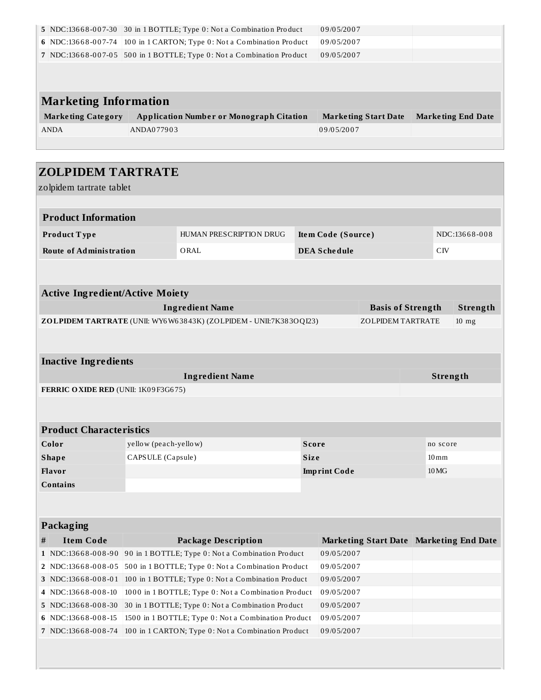|                                        |                       | 5 NDC:13668-007-30 30 in 1 BOTTLE; Type 0: Not a Combination Product  |              | 09/05/2007          |                                         |                    |                           |
|----------------------------------------|-----------------------|-----------------------------------------------------------------------|--------------|---------------------|-----------------------------------------|--------------------|---------------------------|
| 6 NDC:13668-007-74                     |                       | 100 in 1 CARTON; Type 0: Not a Combination Product                    |              | 09/05/2007          |                                         |                    |                           |
|                                        |                       | 7 NDC:13668-007-05 500 in 1 BOTTLE; Type 0: Not a Combination Product |              | 09/05/2007          |                                         |                    |                           |
|                                        |                       |                                                                       |              |                     |                                         |                    |                           |
|                                        |                       |                                                                       |              |                     |                                         |                    |                           |
| <b>Marketing Information</b>           |                       |                                                                       |              |                     |                                         |                    |                           |
|                                        |                       |                                                                       |              |                     |                                         |                    |                           |
| <b>Marketing Category</b>              |                       | <b>Application Number or Monograph Citation</b>                       |              |                     | <b>Marketing Start Date</b>             |                    | <b>Marketing End Date</b> |
| <b>ANDA</b>                            | ANDA077903            |                                                                       |              | 09/05/2007          |                                         |                    |                           |
|                                        |                       |                                                                       |              |                     |                                         |                    |                           |
|                                        |                       |                                                                       |              |                     |                                         |                    |                           |
| <b>ZOLPIDEM TARTRATE</b>               |                       |                                                                       |              |                     |                                         |                    |                           |
| zolpidem tartrate tablet               |                       |                                                                       |              |                     |                                         |                    |                           |
|                                        |                       |                                                                       |              |                     |                                         |                    |                           |
| <b>Product Information</b>             |                       |                                                                       |              |                     |                                         |                    |                           |
| Product Type                           |                       | HUMAN PRESCRIPTION DRUG                                               |              | Item Code (Source)  |                                         |                    | NDC:13668-008             |
| <b>Route of Administration</b>         |                       | ORAL                                                                  |              | <b>DEA Schedule</b> |                                         | C <sub>IV</sub>    |                           |
|                                        |                       |                                                                       |              |                     |                                         |                    |                           |
|                                        |                       |                                                                       |              |                     |                                         |                    |                           |
|                                        |                       |                                                                       |              |                     |                                         |                    |                           |
| <b>Active Ingredient/Active Moiety</b> |                       |                                                                       |              |                     |                                         |                    |                           |
|                                        |                       | <b>Ingredient Name</b>                                                |              |                     | <b>Basis of Strength</b>                |                    | Strength                  |
|                                        |                       | ZOLPIDEM TARTRATE (UNII: WY6W63843K) (ZOLPIDEM - UNII:7K383OQI23)     |              |                     | <b>ZOLPIDEM TARTRATE</b>                |                    | $10$ mg                   |
|                                        |                       |                                                                       |              |                     |                                         |                    |                           |
|                                        |                       |                                                                       |              |                     |                                         |                    |                           |
|                                        |                       |                                                                       |              |                     |                                         |                    |                           |
| <b>Inactive Ingredients</b>            |                       |                                                                       |              |                     |                                         |                    |                           |
|                                        |                       | <b>Ingredient Name</b>                                                |              |                     |                                         |                    | Strength                  |
| FERRIC OXIDE RED (UNII: 1K09F3G675)    |                       |                                                                       |              |                     |                                         |                    |                           |
|                                        |                       |                                                                       |              |                     |                                         |                    |                           |
|                                        |                       |                                                                       |              |                     |                                         |                    |                           |
| <b>Product Characteristics</b>         |                       |                                                                       |              |                     |                                         |                    |                           |
| Color                                  | yellow (peach-yellow) |                                                                       | <b>Score</b> |                     |                                         | no score           |                           |
| <b>Shape</b>                           | CAPSULE (Capsule)     |                                                                       | Size         |                     |                                         | $10 \,\mathrm{mm}$ |                           |
| Flavor                                 |                       |                                                                       |              | <b>Imprint Code</b> |                                         | 10 MG              |                           |
| <b>Contains</b>                        |                       |                                                                       |              |                     |                                         |                    |                           |
|                                        |                       |                                                                       |              |                     |                                         |                    |                           |
|                                        |                       |                                                                       |              |                     |                                         |                    |                           |
| <b>Packaging</b>                       |                       |                                                                       |              |                     |                                         |                    |                           |
| <b>Item Code</b><br>#                  |                       | <b>Package Description</b>                                            |              |                     | Marketing Start Date Marketing End Date |                    |                           |
| 1 NDC:13668-008-90                     |                       | 90 in 1 BOTTLE; Type 0: Not a Combination Product                     |              | 09/05/2007          |                                         |                    |                           |
| 2 NDC:13668-008-05                     |                       | 500 in 1 BOTTLE; Type 0: Not a Combination Product                    |              | 09/05/2007          |                                         |                    |                           |
| 3 NDC:13668-008-01                     |                       | 100 in 1 BOTTLE; Type 0: Not a Combination Product                    |              | 09/05/2007          |                                         |                    |                           |
| 4 NDC:13668-008-10                     |                       | 1000 in 1 BOTTLE; Type 0: Not a Combination Product                   |              | 09/05/2007          |                                         |                    |                           |
| 5 NDC:13668-008-30                     |                       | 30 in 1 BOTTLE; Type 0: Not a Combination Product                     |              | 09/05/2007          |                                         |                    |                           |
| 6 NDC:13668-008-15                     |                       | 1500 in 1 BOTTLE; Type 0: Not a Combination Product                   |              | 09/05/2007          |                                         |                    |                           |
| 7 NDC:13668-008-74                     |                       | 100 in 1 CARTON; Type 0: Not a Combination Product                    |              | 09/05/2007          |                                         |                    |                           |
|                                        |                       |                                                                       |              |                     |                                         |                    |                           |